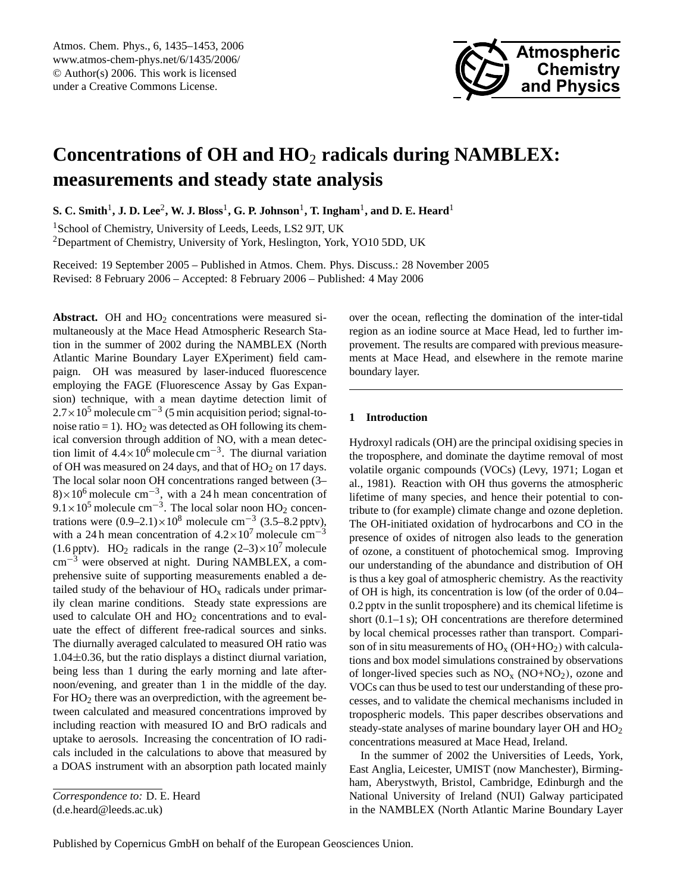

# **Concentrations of OH and HO**<sup>2</sup> **radicals during NAMBLEX: measurements and steady state analysis**

 ${\bf S.~C.~Smith^1, J.~D.~Lee^2, W.~J.~Bloss^1, G.~P.~Johnson^1,~T.~Ingham^1,~and~D.~E.~Heart^1}$ 

<sup>1</sup>School of Chemistry, University of Leeds, Leeds, LS2 9JT, UK

<sup>2</sup>Department of Chemistry, University of York, Heslington, York, YO10 5DD, UK

Received: 19 September 2005 – Published in Atmos. Chem. Phys. Discuss.: 28 November 2005 Revised: 8 February 2006 – Accepted: 8 February 2006 – Published: 4 May 2006

**Abstract.** OH and  $HO<sub>2</sub>$  concentrations were measured simultaneously at the Mace Head Atmospheric Research Station in the summer of 2002 during the NAMBLEX (North Atlantic Marine Boundary Layer EXperiment) field campaign. OH was measured by laser-induced fluorescence employing the FAGE (Fluorescence Assay by Gas Expansion) technique, with a mean daytime detection limit of  $2.7 \times 10^5$  molecule cm<sup>-3</sup> (5 min acquisition period; signal-tonoise ratio = 1).  $HO_2$  was detected as OH following its chemical conversion through addition of NO, with a mean detection limit of  $4.4 \times 10^6$  molecule cm<sup>-3</sup>. The diurnal variation of OH was measured on 24 days, and that of HO<sub>2</sub> on 17 days. The local solar noon OH concentrations ranged between (3– 8)×10<sup>6</sup> molecule cm<sup>-3</sup>, with a 24 h mean concentration of  $9.1 \times 10^5$  molecule cm<sup>-3</sup>. The local solar noon HO<sub>2</sub> concentrations were  $(0.9-2.1) \times 10^8$  molecule cm<sup>-3</sup>  $(3.5-8.2 \text{ pptv})$ , with a 24 h mean concentration of  $4.2 \times 10^7$  molecule cm<sup>-3</sup> (1.6 pptv). HO<sub>2</sub> radicals in the range  $(2-3) \times 10^7$  molecule cm−<sup>3</sup> were observed at night. During NAMBLEX, a comprehensive suite of supporting measurements enabled a detailed study of the behaviour of  $HO_x$  radicals under primarily clean marine conditions. Steady state expressions are used to calculate  $OH$  and  $HO<sub>2</sub>$  concentrations and to evaluate the effect of different free-radical sources and sinks. The diurnally averaged calculated to measured OH ratio was  $1.04\pm0.36$ , but the ratio displays a distinct diurnal variation, being less than 1 during the early morning and late afternoon/evening, and greater than 1 in the middle of the day. For  $HO<sub>2</sub>$  there was an overprediction, with the agreement between calculated and measured concentrations improved by including reaction with measured IO and BrO radicals and uptake to aerosols. Increasing the concentration of IO radicals included in the calculations to above that measured by a DOAS instrument with an absorption path located mainly

<span id="page-0-0"></span>(d.e.heard@leeds.ac.uk)

over the ocean, reflecting the domination of the inter-tidal region as an iodine source at Mace Head, led to further improvement. The results are compared with previous measurements at Mace Head, and elsewhere in the remote marine boundary layer.

# **1 Introduction**

Hydroxyl radicals (OH) are the principal oxidising species in the troposphere, and dominate the daytime removal of most volatile organic compounds (VOCs) (Levy, 1971; Logan et al., 1981). Reaction with OH thus governs the atmospheric lifetime of many species, and hence their potential to contribute to (for example) climate change and ozone depletion. The OH-initiated oxidation of hydrocarbons and CO in the presence of oxides of nitrogen also leads to the generation of ozone, a constituent of photochemical smog. Improving our understanding of the abundance and distribution of OH is thus a key goal of atmospheric chemistry. As the reactivity of OH is high, its concentration is low (of the order of 0.04– 0.2 pptv in the sunlit troposphere) and its chemical lifetime is short (0.1–1 s); OH concentrations are therefore determined by local chemical processes rather than transport. Comparison of in situ measurements of  $HO_x (OH+HO_2)$  with calculations and box model simulations constrained by observations of longer-lived species such as  $NO<sub>x</sub>$  (NO+NO<sub>2</sub>), ozone and VOCs can thus be used to test our understanding of these processes, and to validate the chemical mechanisms included in tropospheric models. This paper describes observations and steady-state analyses of marine boundary layer OH and HO<sup>2</sup> concentrations measured at Mace Head, Ireland.

In the summer of 2002 the Universities of Leeds, York, East Anglia, Leicester, UMIST (now Manchester), Birmingham, Aberystwyth, Bristol, Cambridge, Edinburgh and the National University of Ireland (NUI) Galway participated in the NAMBLEX (North Atlantic Marine Boundary Layer

*Correspondence to:* D. E. Heard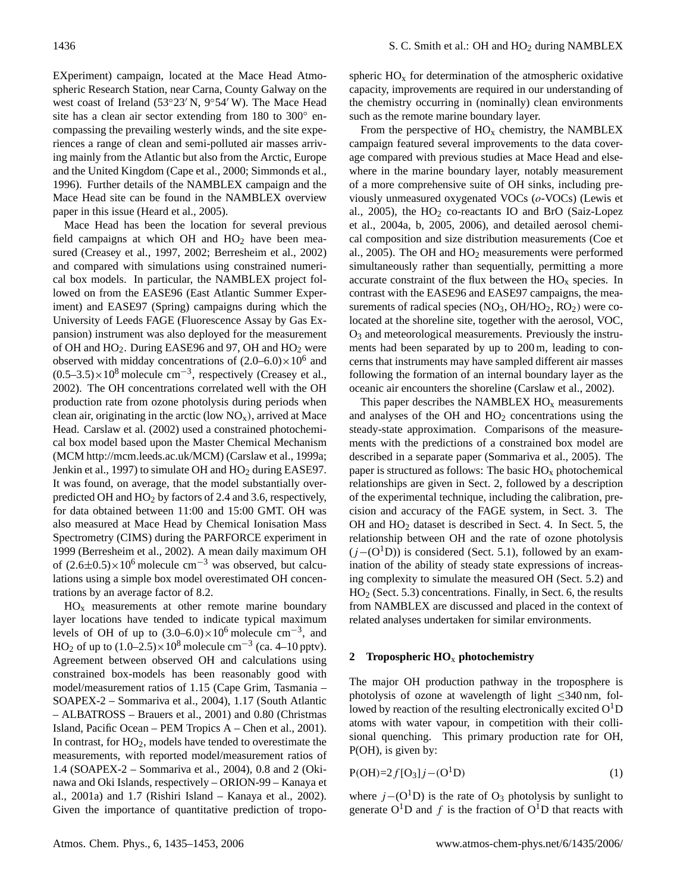EXperiment) campaign, located at the Mace Head Atmospheric Research Station, near Carna, County Galway on the west coast of Ireland (53°23′ N, 9°54′ W). The Mace Head site has a clean air sector extending from 180 to 300° encompassing the prevailing westerly winds, and the site experiences a range of clean and semi-polluted air masses arriving mainly from the Atlantic but also from the Arctic, Europe and the United Kingdom (Cape et al., 2000; Simmonds et al., 1996). Further details of the NAMBLEX campaign and the Mace Head site can be found in the NAMBLEX overview paper in this issue (Heard et al., 2005).

Mace Head has been the location for several previous field campaigns at which OH and  $HO<sub>2</sub>$  have been measured (Creasey et al., 1997, 2002; Berresheim et al., 2002) and compared with simulations using constrained numerical box models. In particular, the NAMBLEX project followed on from the EASE96 (East Atlantic Summer Experiment) and EASE97 (Spring) campaigns during which the University of Leeds FAGE (Fluorescence Assay by Gas Expansion) instrument was also deployed for the measurement of OH and  $HO_2$ . During EASE96 and 97, OH and  $HO_2$  were observed with midday concentrations of  $(2.0-6.0) \times 10^6$  and  $(0.5-3.5)\times10^8$  molecule cm<sup>-3</sup>, respectively (Creasey et al., 2002). The OH concentrations correlated well with the OH production rate from ozone photolysis during periods when clean air, originating in the arctic (low  $NO_x$ ), arrived at Mace Head. Carslaw et al. (2002) used a constrained photochemical box model based upon the Master Chemical Mechanism (MCM [http://mcm.leeds.ac.uk/MCM\)](http://mcm.leeds.ac.uk/MCM) (Carslaw et al., 1999a; Jenkin et al., 1997) to simulate OH and  $HO<sub>2</sub>$  during EASE97. It was found, on average, that the model substantially overpredicted OH and HO<sup>2</sup> by factors of 2.4 and 3.6, respectively, for data obtained between 11:00 and 15:00 GMT. OH was also measured at Mace Head by Chemical Ionisation Mass Spectrometry (CIMS) during the PARFORCE experiment in 1999 (Berresheim et al., 2002). A mean daily maximum OH of  $(2.6\pm0.5)\times10^6$  molecule cm<sup>-3</sup> was observed, but calculations using a simple box model overestimated OH concentrations by an average factor of 8.2.

 $HO<sub>x</sub>$  measurements at other remote marine boundary layer locations have tended to indicate typical maximum levels of OH of up to  $(3.0-6.0) \times 10^6$  molecule cm<sup>-3</sup>, and HO<sub>2</sub> of up to  $(1.0-2.5) \times 10^8$  molecule cm<sup>-3</sup> (ca. 4–10 pptv). Agreement between observed OH and calculations using constrained box-models has been reasonably good with model/measurement ratios of 1.15 (Cape Grim, Tasmania – SOAPEX-2 – Sommariva et al., 2004), 1.17 (South Atlantic – ALBATROSS – Brauers et al., 2001) and 0.80 (Christmas Island, Pacific Ocean – PEM Tropics A – Chen et al., 2001). In contrast, for HO2, models have tended to overestimate the measurements, with reported model/measurement ratios of 1.4 (SOAPEX-2 – Sommariva et al., 2004), 0.8 and 2 (Okinawa and Oki Islands, respectively – ORION-99 – Kanaya et al., 2001a) and 1.7 (Rishiri Island – Kanaya et al., 2002). Given the importance of quantitative prediction of tropo-

spheric  $HO<sub>x</sub>$  for determination of the atmospheric oxidative capacity, improvements are required in our understanding of the chemistry occurring in (nominally) clean environments such as the remote marine boundary layer.

From the perspective of  $HO_x$  chemistry, the NAMBLEX campaign featured several improvements to the data coverage compared with previous studies at Mace Head and elsewhere in the marine boundary layer, notably measurement of a more comprehensive suite of OH sinks, including previously unmeasured oxygenated VOCs (o-VOCs) (Lewis et al., 2005), the  $HO<sub>2</sub>$  co-reactants IO and BrO (Saiz-Lopez et al., 2004a, b, 2005, 2006), and detailed aerosol chemical composition and size distribution measurements (Coe et al., 2005). The OH and  $HO<sub>2</sub>$  measurements were performed simultaneously rather than sequentially, permitting a more accurate constraint of the flux between the  $HO_x$  species. In contrast with the EASE96 and EASE97 campaigns, the measurements of radical species  $(NO<sub>3</sub>, OH/HO<sub>2</sub>, RO<sub>2</sub>)$  were colocated at the shoreline site, together with the aerosol, VOC,  $O<sub>3</sub>$  and meteorological measurements. Previously the instruments had been separated by up to 200 m, leading to concerns that instruments may have sampled different air masses following the formation of an internal boundary layer as the oceanic air encounters the shoreline (Carslaw et al., 2002).

This paper describes the NAMBLEX  $HO<sub>x</sub>$  measurements and analyses of the OH and  $HO<sub>2</sub>$  concentrations using the steady-state approximation. Comparisons of the measurements with the predictions of a constrained box model are described in a separate paper (Sommariva et al., 2005). The paper is structured as follows: The basic  $HO<sub>x</sub>$  photochemical relationships are given in Sect. 2, followed by a description of the experimental technique, including the calibration, precision and accuracy of the FAGE system, in Sect. 3. The OH and HO<sup>2</sup> dataset is described in Sect. 4. In Sect. 5, the relationship between OH and the rate of ozone photolysis  $(j-(O<sup>1</sup>D))$  is considered (Sect. 5.1), followed by an examination of the ability of steady state expressions of increasing complexity to simulate the measured OH (Sect. 5.2) and HO<sup>2</sup> (Sect. 5.3) concentrations. Finally, in Sect. 6, the results from NAMBLEX are discussed and placed in the context of related analyses undertaken for similar environments.

## **2 Tropospheric HO**<sup>x</sup> **photochemistry**

The major OH production pathway in the troposphere is photolysis of ozone at wavelength of light ≤340 nm, followed by reaction of the resulting electronically excited  $O<sup>1</sup>D$ atoms with water vapour, in competition with their collisional quenching. This primary production rate for OH, P(OH), is given by:

$$
P(OH)=2f[O_3]j-(O^1D)
$$
 (1)

where  $j-(O<sup>1</sup>D)$  is the rate of  $O<sub>3</sub>$  photolysis by sunlight to generate  $O^{1}D$  and f is the fraction of  $O^{1}D$  that reacts with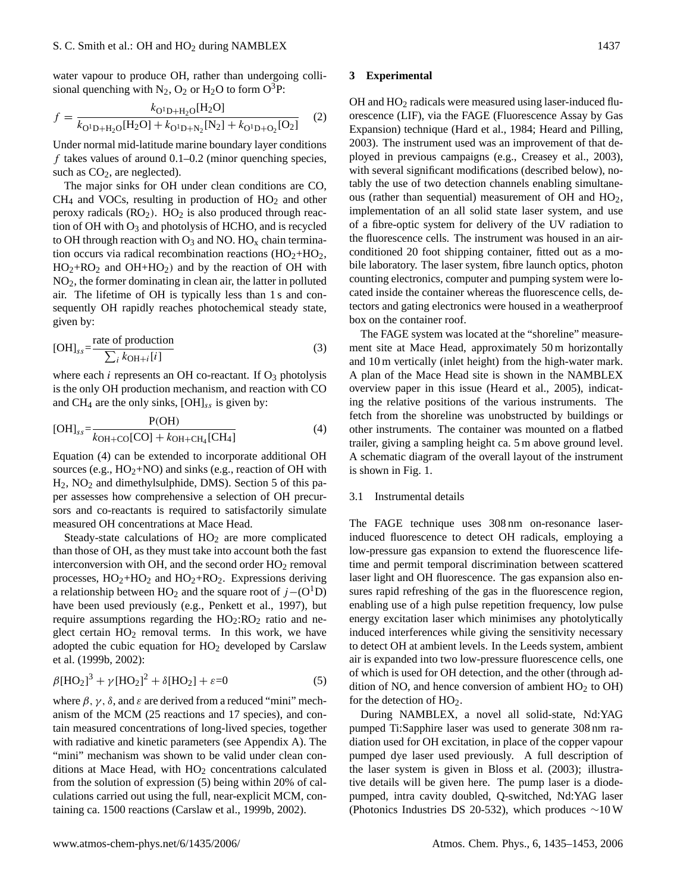water vapour to produce OH, rather than undergoing collisional quenching with  $N_2$ ,  $O_2$  or  $H_2O$  to form  $O^3P$ :

$$
f = \frac{k_{\text{O}^1\text{D} + \text{H}_2\text{O}}[\text{H}_2\text{O}]}{k_{\text{O}^1\text{D} + \text{H}_2\text{O}}[\text{H}_2\text{O}] + k_{\text{O}^1\text{D} + \text{N}_2}[\text{N}_2] + k_{\text{O}^1\text{D} + \text{O}_2}[\text{O}_2]} \tag{2}
$$

Under normal mid-latitude marine boundary layer conditions  $f$  takes values of around 0.1–0.2 (minor quenching species, such as  $CO<sub>2</sub>$ , are neglected).

The major sinks for OH under clean conditions are CO,  $CH<sub>4</sub>$  and VOCs, resulting in production of  $HO<sub>2</sub>$  and other peroxy radicals  $(RO<sub>2</sub>)$ .  $HO<sub>2</sub>$  is also produced through reaction of OH with  $O_3$  and photolysis of HCHO, and is recycled to OH through reaction with  $O_3$  and NO. HO<sub>x</sub> chain termination occurs via radical recombination reactions  $(HO<sub>2</sub>+HO<sub>2</sub>)$ ,  $HO_2+RO_2$  and  $OH+HO_2$ ) and by the reaction of OH with NO2, the former dominating in clean air, the latter in polluted air. The lifetime of OH is typically less than 1 s and consequently OH rapidly reaches photochemical steady state, given by:

$$
[OH]_{ss} = \frac{\text{rate of production}}{\sum_{i} k_{OH+i}[i]}
$$
 (3)

where each  $i$  represents an OH co-reactant. If  $O_3$  photolysis is the only OH production mechanism, and reaction with CO and CH<sub>4</sub> are the only sinks,  $[OH]_{ss}$  is given by:

$$
[OH]_{ss} = \frac{P(OH)}{k_{OH+CO}[CO] + k_{OH+CH_4}[CH_4]}
$$
(4)

Equation (4) can be extended to incorporate additional OH sources (e.g.,  $HO_2+NO$ ) and sinks (e.g., reaction of OH with  $H_2$ , NO<sub>2</sub> and dimethylsulphide, DMS). Section 5 of this paper assesses how comprehensive a selection of OH precursors and co-reactants is required to satisfactorily simulate measured OH concentrations at Mace Head.

Steady-state calculations of  $HO<sub>2</sub>$  are more complicated than those of OH, as they must take into account both the fast interconversion with OH, and the second order  $HO<sub>2</sub>$  removal processes,  $HO_2+HO_2$  and  $HO_2+RO_2$ . Expressions deriving a relationship between HO<sub>2</sub> and the square root of  $j-(O<sup>1</sup>D)$ have been used previously (e.g., Penkett et al., 1997), but require assumptions regarding the  $HO_2:RO_2$  ratio and neglect certain  $HO<sub>2</sub>$  removal terms. In this work, we have adopted the cubic equation for  $HO<sub>2</sub>$  developed by Carslaw et al. (1999b, 2002):

$$
\beta[\text{HO}_2]^3 + \gamma[\text{HO}_2]^2 + \delta[\text{HO}_2] + \varepsilon = 0 \tag{5}
$$

where  $\beta$ ,  $\gamma$ ,  $\delta$ , and  $\varepsilon$  are derived from a reduced "mini" mechanism of the MCM (25 reactions and 17 species), and contain measured concentrations of long-lived species, together with radiative and kinetic parameters (see Appendix A). The "mini" mechanism was shown to be valid under clean conditions at Mace Head, with  $HO<sub>2</sub>$  concentrations calculated from the solution of expression (5) being within 20% of calculations carried out using the full, near-explicit MCM, containing ca. 1500 reactions (Carslaw et al., 1999b, 2002).

# **3 Experimental**

 $OH$  and  $HO<sub>2</sub>$  radicals were measured using laser-induced fluorescence (LIF), via the FAGE (Fluorescence Assay by Gas Expansion) technique (Hard et al., 1984; Heard and Pilling, 2003). The instrument used was an improvement of that deployed in previous campaigns (e.g., Creasey et al., 2003), with several significant modifications (described below), notably the use of two detection channels enabling simultaneous (rather than sequential) measurement of OH and  $HO<sub>2</sub>$ , implementation of an all solid state laser system, and use of a fibre-optic system for delivery of the UV radiation to the fluorescence cells. The instrument was housed in an airconditioned 20 foot shipping container, fitted out as a mobile laboratory. The laser system, fibre launch optics, photon counting electronics, computer and pumping system were located inside the container whereas the fluorescence cells, detectors and gating electronics were housed in a weatherproof box on the container roof.

The FAGE system was located at the "shoreline" measurement site at Mace Head, approximately 50 m horizontally and 10 m vertically (inlet height) from the high-water mark. A plan of the Mace Head site is shown in the NAMBLEX overview paper in this issue (Heard et al., 2005), indicating the relative positions of the various instruments. The fetch from the shoreline was unobstructed by buildings or other instruments. The container was mounted on a flatbed trailer, giving a sampling height ca. 5 m above ground level. A schematic diagram of the overall layout of the instrument is shown in Fig. 1.

# 3.1 Instrumental details

The FAGE technique uses 308 nm on-resonance laserinduced fluorescence to detect OH radicals, employing a low-pressure gas expansion to extend the fluorescence lifetime and permit temporal discrimination between scattered laser light and OH fluorescence. The gas expansion also ensures rapid refreshing of the gas in the fluorescence region, enabling use of a high pulse repetition frequency, low pulse energy excitation laser which minimises any photolytically induced interferences while giving the sensitivity necessary to detect OH at ambient levels. In the Leeds system, ambient air is expanded into two low-pressure fluorescence cells, one of which is used for OH detection, and the other (through addition of NO, and hence conversion of ambient  $HO<sub>2</sub>$  to  $OH$ ) for the detection of HO2.

During NAMBLEX, a novel all solid-state, Nd:YAG pumped Ti:Sapphire laser was used to generate 308 nm radiation used for OH excitation, in place of the copper vapour pumped dye laser used previously. A full description of the laser system is given in Bloss et al. (2003); illustrative details will be given here. The pump laser is a diodepumped, intra cavity doubled, Q-switched, Nd:YAG laser (Photonics Industries DS 20-532), which produces ∼10 W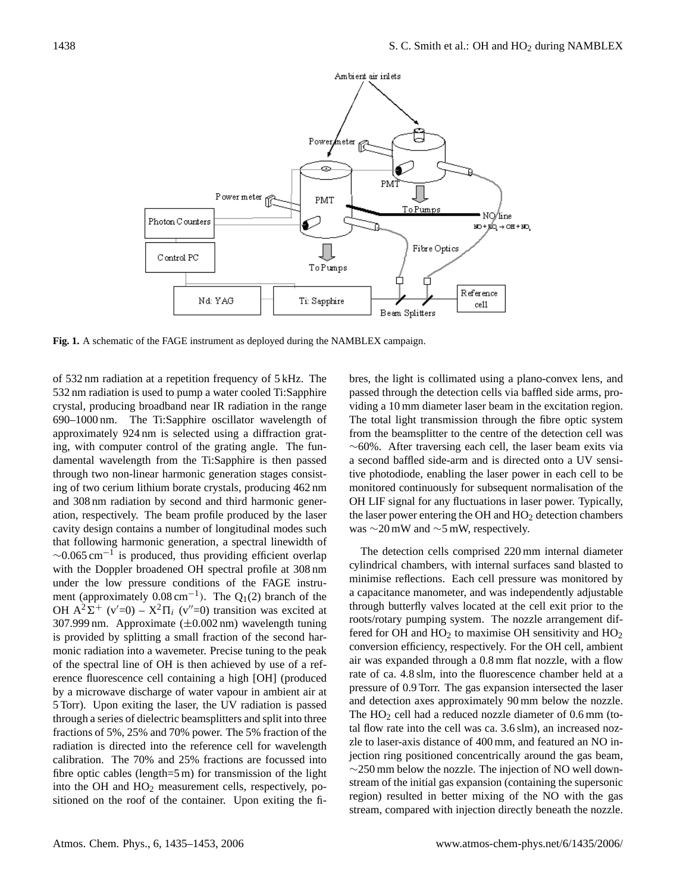

**Fig. 1.** A schematic of the FAGE instrument as deployed during the NAMBLEX campaign.

of 532 nm radiation at a repetition frequency of 5 kHz. The 532 nm radiation is used to pump a water cooled Ti:Sapphire crystal, producing broadband near IR radiation in the range 690–1000 nm. The Ti:Sapphire oscillator wavelength of approximately 924 nm is selected using a diffraction grating, with computer control of the grating angle. The fundamental wavelength from the Ti:Sapphire is then passed through two non-linear harmonic generation stages consisting of two cerium lithium borate crystals, producing 462 nm and 308 nm radiation by second and third harmonic generation, respectively. The beam profile produced by the laser cavity design contains a number of longitudinal modes such that following harmonic generation, a spectral linewidth of  $\sim$ 0.065 cm<sup>-1</sup> is produced, thus providing efficient overlap with the Doppler broadened OH spectral profile at 308 nm under the low pressure conditions of the FAGE instrument (approximately  $0.08 \text{ cm}^{-1}$ ). The Q<sub>1</sub>(2) branch of the OH  $A^2\Sigma^+$  (v'=0) –  $X^2\Pi_i$  (v''=0) transition was excited at 307.999 nm. Approximate (±0.002 nm) wavelength tuning is provided by splitting a small fraction of the second harmonic radiation into a wavemeter. Precise tuning to the peak of the spectral line of OH is then achieved by use of a reference fluorescence cell containing a high [OH] (produced by a microwave discharge of water vapour in ambient air at 5 Torr). Upon exiting the laser, the UV radiation is passed through a series of dielectric beamsplitters and split into three fractions of 5%, 25% and 70% power. The 5% fraction of the radiation is directed into the reference cell for wavelength calibration. The 70% and 25% fractions are focussed into fibre optic cables (length=5 m) for transmission of the light into the OH and HO<sup>2</sup> measurement cells, respectively, positioned on the roof of the container. Upon exiting the fibres, the light is collimated using a plano-convex lens, and passed through the detection cells via baffled side arms, providing a 10 mm diameter laser beam in the excitation region. The total light transmission through the fibre optic system from the beamsplitter to the centre of the detection cell was ∼60%. After traversing each cell, the laser beam exits via a second baffled side-arm and is directed onto a UV sensitive photodiode, enabling the laser power in each cell to be monitored continuously for subsequent normalisation of the OH LIF signal for any fluctuations in laser power. Typically, the laser power entering the OH and  $HO<sub>2</sub>$  detection chambers was ∼20 mW and ∼5 mW, respectively.

The detection cells comprised 220 mm internal diameter cylindrical chambers, with internal surfaces sand blasted to minimise reflections. Each cell pressure was monitored by a capacitance manometer, and was independently adjustable through butterfly valves located at the cell exit prior to the roots/rotary pumping system. The nozzle arrangement differed for OH and  $HO<sub>2</sub>$  to maximise OH sensitivity and  $HO<sub>2</sub>$ conversion efficiency, respectively. For the OH cell, ambient air was expanded through a 0.8 mm flat nozzle, with a flow rate of ca. 4.8 slm, into the fluorescence chamber held at a pressure of 0.9 Torr. The gas expansion intersected the laser and detection axes approximately 90 mm below the nozzle. The  $HO<sub>2</sub>$  cell had a reduced nozzle diameter of 0.6 mm (total flow rate into the cell was ca. 3.6 slm), an increased nozzle to laser-axis distance of 400 mm, and featured an NO injection ring positioned concentrically around the gas beam, ∼250 mm below the nozzle. The injection of NO well downstream of the initial gas expansion (containing the supersonic region) resulted in better mixing of the NO with the gas stream, compared with injection directly beneath the nozzle.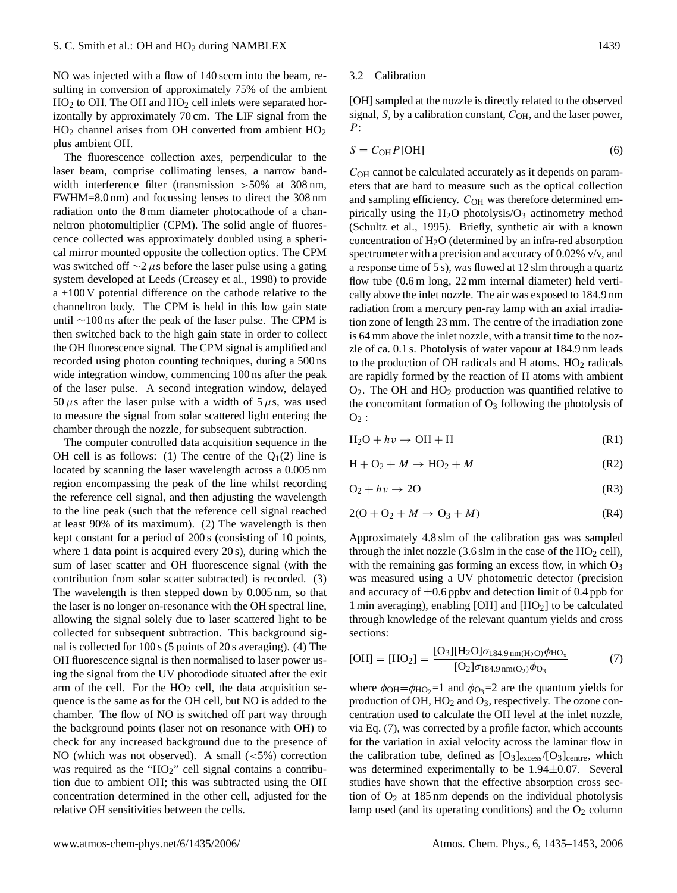NO was injected with a flow of 140 sccm into the beam, resulting in conversion of approximately 75% of the ambient  $HO<sub>2</sub>$  to OH. The OH and  $HO<sub>2</sub>$  cell inlets were separated horizontally by approximately 70 cm. The LIF signal from the  $HO<sub>2</sub>$  channel arises from OH converted from ambient  $HO<sub>2</sub>$ plus ambient OH.

The fluorescence collection axes, perpendicular to the laser beam, comprise collimating lenses, a narrow bandwidth interference filter (transmission >50% at 308 nm, FWHM=8.0 nm) and focussing lenses to direct the 308 nm radiation onto the 8 mm diameter photocathode of a channeltron photomultiplier (CPM). The solid angle of fluorescence collected was approximately doubled using a spherical mirror mounted opposite the collection optics. The CPM was switched off  $\sim$ 2 µs before the laser pulse using a gating system developed at Leeds (Creasey et al., 1998) to provide a +100 V potential difference on the cathode relative to the channeltron body. The CPM is held in this low gain state until ∼100 ns after the peak of the laser pulse. The CPM is then switched back to the high gain state in order to collect the OH fluorescence signal. The CPM signal is amplified and recorded using photon counting techniques, during a 500 ns wide integration window, commencing 100 ns after the peak of the laser pulse. A second integration window, delayed 50  $\mu$ s after the laser pulse with a width of 5  $\mu$ s, was used to measure the signal from solar scattered light entering the chamber through the nozzle, for subsequent subtraction.

The computer controlled data acquisition sequence in the OH cell is as follows: (1) The centre of the  $Q_1(2)$  line is located by scanning the laser wavelength across a 0.005 nm region encompassing the peak of the line whilst recording the reference cell signal, and then adjusting the wavelength to the line peak (such that the reference cell signal reached at least 90% of its maximum). (2) The wavelength is then kept constant for a period of 200 s (consisting of 10 points, where 1 data point is acquired every 20 s), during which the sum of laser scatter and OH fluorescence signal (with the contribution from solar scatter subtracted) is recorded. (3) The wavelength is then stepped down by 0.005 nm, so that the laser is no longer on-resonance with the OH spectral line, allowing the signal solely due to laser scattered light to be collected for subsequent subtraction. This background signal is collected for 100 s (5 points of 20 s averaging). (4) The OH fluorescence signal is then normalised to laser power using the signal from the UV photodiode situated after the exit arm of the cell. For the  $HO<sub>2</sub>$  cell, the data acquisition sequence is the same as for the OH cell, but NO is added to the chamber. The flow of NO is switched off part way through the background points (laser not on resonance with OH) to check for any increased background due to the presence of NO (which was not observed). A small  $(<5\%)$  correction was required as the "HO<sub>2</sub>" cell signal contains a contribution due to ambient OH; this was subtracted using the OH concentration determined in the other cell, adjusted for the relative OH sensitivities between the cells.

# 3.2 Calibration

[OH] sampled at the nozzle is directly related to the observed signal,  $S$ , by a calibration constant,  $C_{OH}$ , and the laser power,  $P$ :

$$
S = C_{\text{OH}} P[\text{OH}] \tag{6}
$$

 $C<sub>OH</sub>$  cannot be calculated accurately as it depends on parameters that are hard to measure such as the optical collection and sampling efficiency.  $C_{OH}$  was therefore determined empirically using the  $H_2O$  photolysis/ $O_3$  actinometry method (Schultz et al., 1995). Briefly, synthetic air with a known concentration of  $H_2O$  (determined by an infra-red absorption spectrometer with a precision and accuracy of 0.02% v/v, and a response time of 5 s), was flowed at 12 slm through a quartz flow tube (0.6 m long, 22 mm internal diameter) held vertically above the inlet nozzle. The air was exposed to 184.9 nm radiation from a mercury pen-ray lamp with an axial irradiation zone of length 23 mm. The centre of the irradiation zone is 64 mm above the inlet nozzle, with a transit time to the nozzle of ca. 0.1 s. Photolysis of water vapour at 184.9 nm leads to the production of OH radicals and H atoms.  $HO<sub>2</sub>$  radicals are rapidly formed by the reaction of H atoms with ambient  $O_2$ . The OH and  $HO_2$  production was quantified relative to the concomitant formation of  $O_3$  following the photolysis of  $O_2$ :

$$
H_2O + hv \to OH + H \tag{R1}
$$

$$
H + O_2 + M \rightarrow HO_2 + M \tag{R2}
$$

$$
O_2 + hv \to 2O \tag{R3}
$$

$$
2(O + O2 + M \rightarrow O3 + M)
$$
 (R4)

Approximately 4.8 slm of the calibration gas was sampled through the inlet nozzle  $(3.6 \text{ s} \text{lm} \text{ in the case of the HO}_2 \text{ cell})$ , with the remaining gas forming an excess flow, in which  $O<sub>3</sub>$ was measured using a UV photometric detector (precision and accuracy of  $\pm 0.6$  ppbv and detection limit of 0.4 ppb for 1 min averaging), enabling [OH] and  $[HO<sub>2</sub>]$  to be calculated through knowledge of the relevant quantum yields and cross sections:

$$
[OH] = [HO2] = \frac{[O3][H2O]\sigma184.9 nm(H2O)\phiHOx}{[O2]\sigma184.9 nm(O2)\phiO3}}
$$
(7)

where  $\phi_{OH} = \phi_{HO_2} = 1$  and  $\phi_{O_3} = 2$  are the quantum yields for production of OH,  $HO_2$  and  $O_3$ , respectively. The ozone concentration used to calculate the OH level at the inlet nozzle, via Eq. (7), was corrected by a profile factor, which accounts for the variation in axial velocity across the laminar flow in the calibration tube, defined as  $[O<sub>3</sub>]_{excess}/[O<sub>3</sub>]_{centre}$ , which was determined experimentally to be 1.94±0.07. Several studies have shown that the effective absorption cross section of  $O_2$  at 185 nm depends on the individual photolysis lamp used (and its operating conditions) and the  $O<sub>2</sub>$  column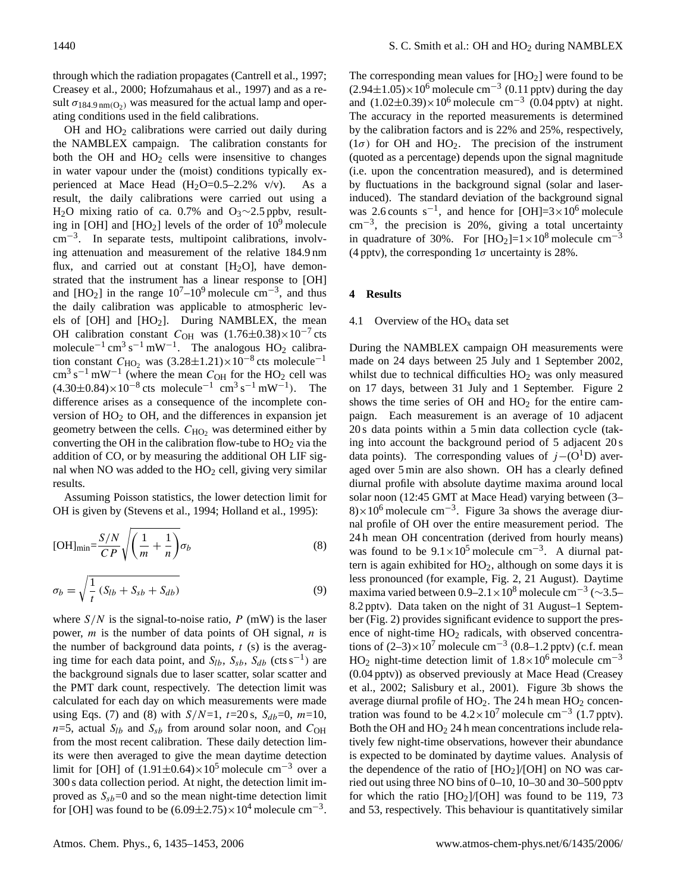through which the radiation propagates (Cantrell et al., 1997; Creasey et al., 2000; Hofzumahaus et al., 1997) and as a result  $\sigma_{184.9 \text{ nm(O}_2)}$  was measured for the actual lamp and operating conditions used in the field calibrations.

 $OH$  and  $HO<sub>2</sub>$  calibrations were carried out daily during the NAMBLEX campaign. The calibration constants for both the OH and  $HO<sub>2</sub>$  cells were insensitive to changes in water vapour under the (moist) conditions typically experienced at Mace Head  $(H<sub>2</sub>O=0.5-2.2\%$  v/v). As a result, the daily calibrations were carried out using a H<sub>2</sub>O mixing ratio of ca. 0.7% and O<sub>3</sub>∼2.5 ppbv, resulting in [OH] and  $[HO_2]$  levels of the order of  $10^9$  molecule cm−<sup>3</sup> . In separate tests, multipoint calibrations, involving attenuation and measurement of the relative 184.9 nm flux, and carried out at constant  $[H<sub>2</sub>O]$ , have demonstrated that the instrument has a linear response to [OH] and [HO<sub>2</sub>] in the range  $10^7$ – $10^9$  molecule cm<sup>-3</sup>, and thus the daily calibration was applicable to atmospheric levels of [OH] and [HO2]. During NAMBLEX, the mean OH calibration constant  $C_{OH}$  was  $(1.76\pm0.38)\times10^{-7}$  cts molecule<sup>-1</sup> cm<sup>3</sup> s<sup>-1</sup> mW<sup>-1</sup>. The analogous HO<sub>2</sub> calibration constant  $C_{\text{HO}_2}$  was  $(3.28 \pm 1.21) \times 10^{-8}$  cts molecule<sup>-1</sup>  $\text{cm}^3 \text{ s}^{-1} \text{ mW}^{-1}$  (where the mean  $C_{\text{OH}}$  for the HO<sub>2</sub> cell was  $(4.30\pm0.84)\times10^{-8}$  cts molecule<sup>-1</sup> cm<sup>3</sup> s<sup>-1</sup> mW<sup>-1</sup>). The difference arises as a consequence of the incomplete conversion of  $HO<sub>2</sub>$  to OH, and the differences in expansion jet geometry between the cells.  $C_{HO_2}$  was determined either by converting the OH in the calibration flow-tube to  $HO<sub>2</sub>$  via the addition of CO, or by measuring the additional OH LIF signal when NO was added to the  $HO<sub>2</sub>$  cell, giving very similar results.

Assuming Poisson statistics, the lower detection limit for OH is given by (Stevens et al., 1994; Holland et al., 1995):

[OH]<sub>min</sub> = 
$$
\frac{S/N}{CP} \sqrt{\left(\frac{1}{m} + \frac{1}{n}\right)} \sigma_b
$$
 (8)

$$
\sigma_b = \sqrt{\frac{1}{t} \left( S_{lb} + S_{sb} + S_{db} \right)} \tag{9}
$$

where  $S/N$  is the signal-to-noise ratio, P (mW) is the laser power, *m* is the number of data points of OH signal, *n* is the number of background data points,  $t$  (s) is the averaging time for each data point, and  $S_{lb}$ ,  $S_{sb}$ ,  $S_{db}$  (cts s<sup>-1</sup>) are the background signals due to laser scatter, solar scatter and the PMT dark count, respectively. The detection limit was calculated for each day on which measurements were made using Eqs. (7) and (8) with  $S/N=1$ ,  $t=20$  s,  $S_{db}=0$ ,  $m=10$ ,  $n=5$ , actual  $S<sub>lb</sub>$  and  $S<sub>sb</sub>$  from around solar noon, and  $C<sub>OH</sub>$ from the most recent calibration. These daily detection limits were then averaged to give the mean daytime detection limit for [OH] of  $(1.91\pm0.64)\times10^5$  molecule cm<sup>-3</sup> over a 300 s data collection period. At night, the detection limit improved as  $S_{sb}=0$  and so the mean night-time detection limit for [OH] was found to be  $(6.09 \pm 2.75) \times 10^4$  molecule cm<sup>-3</sup>.

The corresponding mean values for  $[HO_2]$  were found to be  $(2.94\pm1.05)\times10^6$  molecule cm<sup>-3</sup> (0.11 pptv) during the day and  $(1.02 \pm 0.39) \times 10^6$  molecule cm<sup>-3</sup>  $(0.04$  pptv) at night. The accuracy in the reported measurements is determined by the calibration factors and is 22% and 25%, respectively, ( $1\sigma$ ) for OH and HO<sub>2</sub>. The precision of the instrument (quoted as a percentage) depends upon the signal magnitude (i.e. upon the concentration measured), and is determined by fluctuations in the background signal (solar and laserinduced). The standard deviation of the background signal was 2.6 counts s<sup>-1</sup>, and hence for [OH]=3×10<sup>6</sup> molecule cm−<sup>3</sup> , the precision is 20%, giving a total uncertainty in quadrature of 30%. For  $[HO_2]=1\times10^8$  molecule cm<sup>-3</sup> (4 pptv), the corresponding  $1\sigma$  uncertainty is 28%.

## **4 Results**

## 4.1 Overview of the  $HO_x$  data set

During the NAMBLEX campaign OH measurements were made on 24 days between 25 July and 1 September 2002, whilst due to technical difficulties  $HO<sub>2</sub>$  was only measured on 17 days, between 31 July and 1 September. Figure 2 shows the time series of  $OH$  and  $HO<sub>2</sub>$  for the entire campaign. Each measurement is an average of 10 adjacent 20 s data points within a 5 min data collection cycle (taking into account the background period of 5 adjacent 20 s data points). The corresponding values of  $j-(O<sup>1</sup>D)$  averaged over 5 min are also shown. OH has a clearly defined diurnal profile with absolute daytime maxima around local solar noon (12:45 GMT at Mace Head) varying between (3– 8)×10<sup>6</sup> molecule cm<sup>-3</sup>. Figure 3a shows the average diurnal profile of OH over the entire measurement period. The 24 h mean OH concentration (derived from hourly means) was found to be  $9.1 \times 10^5$  molecule cm<sup>-3</sup>. A diurnal pattern is again exhibited for  $HO<sub>2</sub>$ , although on some days it is less pronounced (for example, Fig. 2, 21 August). Daytime maxima varied between  $0.9-2.1 \times 10^8$  molecule cm<sup>-3</sup> (~3.5– 8.2 pptv). Data taken on the night of 31 August–1 September (Fig. 2) provides significant evidence to support the presence of night-time  $HO<sub>2</sub>$  radicals, with observed concentrations of  $(2-3) \times 10^7$  molecule cm<sup>-3</sup>  $(0.8-1.2$  pptv) (c.f. mean HO<sub>2</sub> night-time detection limit of  $1.8 \times 10^6$  molecule cm<sup>-3</sup> (0.04 pptv)) as observed previously at Mace Head (Creasey et al., 2002; Salisbury et al., 2001). Figure 3b shows the average diurnal profile of  $HO<sub>2</sub>$ . The 24 h mean  $HO<sub>2</sub>$  concentration was found to be  $4.2 \times 10^7$  molecule cm<sup>-3</sup> (1.7 pptv). Both the OH and  $HO<sub>2</sub> 24 h$  mean concentrations include relatively few night-time observations, however their abundance is expected to be dominated by daytime values. Analysis of the dependence of the ratio of  $[HO<sub>2</sub>]/[OH]$  on NO was carried out using three NO bins of 0–10, 10–30 and 30–500 pptv for which the ratio  $[HO_2]/[OH]$  was found to be 119, 73 and 53, respectively. This behaviour is quantitatively similar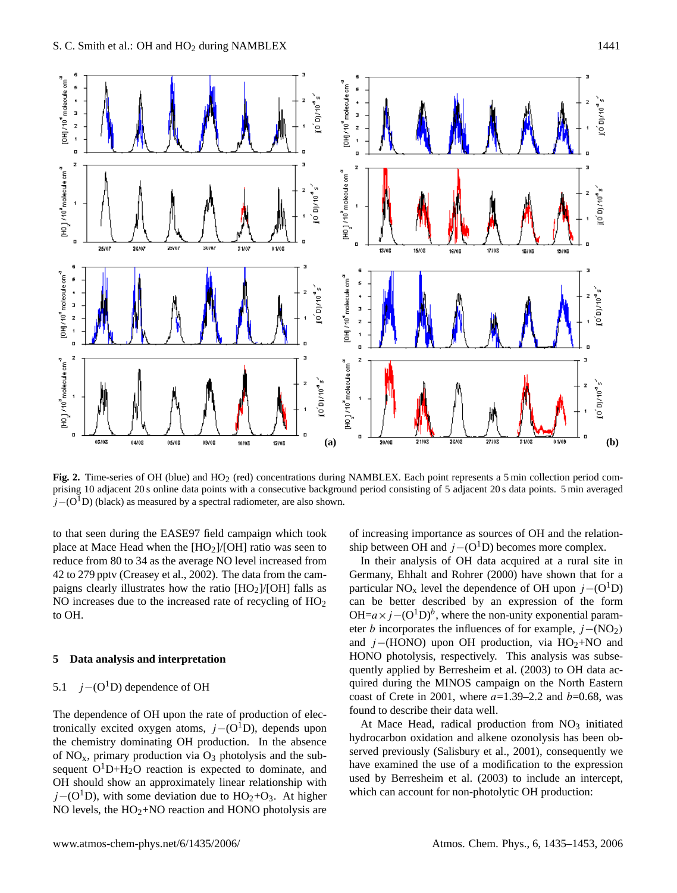

**Fig. 2.** Time-series of OH (blue) and HO<sub>2</sub> (red) concentrations during NAMBLEX. Each point represents a 5 min collection period comprising 10 adjacent 20 s online data points with a consecutive background period consisting of 5 adjacent 20 s data points. 5 min averaged  $j-(O<sup>1</sup>D)$  (black) as measured by a spectral radiometer, are also shown.

to that seen during the EASE97 field campaign which took place at Mace Head when the  $[HO<sub>2</sub>]/[OH]$  ratio was seen to reduce from 80 to 34 as the average NO level increased from 42 to 279 pptv (Creasey et al., 2002). The data from the campaigns clearly illustrates how the ratio  $[HO<sub>2</sub>]/[OH]$  falls as NO increases due to the increased rate of recycling of  $HO<sub>2</sub>$ to OH.

# **5 Data analysis and interpretation**

# 5.1 *j*−( $O^1D$ ) dependence of OH

The dependence of OH upon the rate of production of electronically excited oxygen atoms,  $j-(O<sup>1</sup>D)$ , depends upon the chemistry dominating OH production. In the absence of  $NO<sub>x</sub>$ , primary production via  $O<sub>3</sub>$  photolysis and the subsequent  $O<sup>1</sup>D+H<sub>2</sub>O$  reaction is expected to dominate, and OH should show an approximately linear relationship with  $j-(O<sup>1</sup>D)$ , with some deviation due to HO<sub>2</sub>+O<sub>3</sub>. At higher NO levels, the  $HO<sub>2</sub>+NO$  reaction and HONO photolysis are of increasing importance as sources of OH and the relationship between OH and  $j-(O<sup>1</sup>D)$  becomes more complex.

In their analysis of OH data acquired at a rural site in Germany, Ehhalt and Rohrer (2000) have shown that for a particular NO<sub>x</sub> level the dependence of OH upon  $j-(O<sup>1</sup>D)$ can be better described by an expression of the form OH= $a \times j$  –(O<sup>1</sup>D)<sup>b</sup>, where the non-unity exponential parameter *b* incorporates the influences of for example,  $j-(NO<sub>2</sub>)$ and  $j-(HONO)$  upon OH production, via HO<sub>2</sub>+NO and HONO photolysis, respectively. This analysis was subsequently applied by Berresheim et al. (2003) to OH data acquired during the MINOS campaign on the North Eastern coast of Crete in 2001, where  $a=1.39-2.2$  and  $b=0.68$ , was found to describe their data well.

At Mace Head, radical production from  $NO<sub>3</sub>$  initiated hydrocarbon oxidation and alkene ozonolysis has been observed previously (Salisbury et al., 2001), consequently we have examined the use of a modification to the expression used by Berresheim et al. (2003) to include an intercept, which can account for non-photolytic OH production: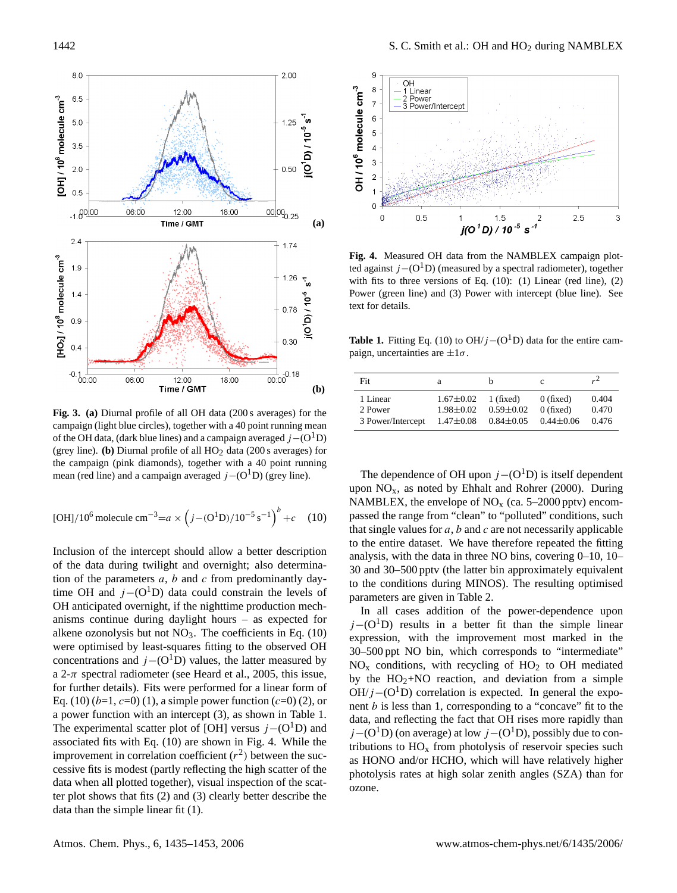

**Fig. 3. (a)** Diurnal profile of all OH data (200 s averages) for the campaign (light blue circles), together with a 40 point running mean of the OH data, (dark blue lines) and a campaign averaged  $j-(O<sup>1</sup>D)$ (grey line). **(b)** Diurnal profile of all HO<sub>2</sub> data (200 s averages) for the campaign (pink diamonds), together with a 40 point running mean (red line) and a campaign averaged  $j-(O<sup>1</sup>D)$  (grey line).

[OH]/10<sup>6</sup> molecule cm<sup>-3</sup>=
$$
a \times (j-(O1D)/10-5 s-1)b + c
$$
 (10)

Inclusion of the intercept should allow a better description of the data during twilight and overnight; also determination of the parameters  $a, b$  and  $c$  from predominantly daytime OH and  $j-(O<sup>1</sup>D)$  data could constrain the levels of OH anticipated overnight, if the nighttime production mechanisms continue during daylight hours – as expected for alkene ozonolysis but not  $NO<sub>3</sub>$ . The coefficients in Eq. (10) were optimised by least-squares fitting to the observed OH concentrations and  $j-(O<sup>1</sup>D)$  values, the latter measured by a 2- $\pi$  spectral radiometer (see Heard et al., 2005, this issue, for further details). Fits were performed for a linear form of Eq. (10)  $(b=1, c=0)$  (1), a simple power function  $(c=0)$  (2), or a power function with an intercept (3), as shown in Table 1. The experimental scatter plot of [OH] versus  $j-(O<sup>1</sup>D)$  and associated fits with Eq. (10) are shown in Fig. 4. While the improvement in correlation coefficient  $(r^2)$  between the successive fits is modest (partly reflecting the high scatter of the data when all plotted together), visual inspection of the scatter plot shows that fits (2) and (3) clearly better describe the data than the simple linear fit (1).



**Fig. 4.** Measured OH data from the NAMBLEX campaign plotted against  $j-(O<sup>1</sup>D)$  (measured by a spectral radiometer), together with fits to three versions of Eq.  $(10)$ :  $(1)$  Linear (red line),  $(2)$ Power (green line) and (3) Power with intercept (blue line). See text for details.

**Table 1.** Fitting Eq. (10) to OH/ $j$  – (O<sup>1</sup>D) data for the entire campaign, uncertainties are  $\pm 1\sigma$ .

| Fit               | a               |                 | c               | $r^2$ |
|-------------------|-----------------|-----------------|-----------------|-------|
| 1 Linear          | $1.67 \pm 0.02$ | 1 (fixed)       | $0$ (fixed)     | 0.404 |
| 2 Power           | $1.98 + 0.02$   | $0.59 \pm 0.02$ | $0$ (fixed)     | 0.470 |
| 3 Power/Intercept | $1.47 \pm 0.08$ | $0.84 \pm 0.05$ | $0.44 \pm 0.06$ | 0.476 |

The dependence of OH upon  $j-(O<sup>1</sup>D)$  is itself dependent upon  $NO<sub>x</sub>$ , as noted by Ehhalt and Rohrer (2000). During NAMBLEX, the envelope of  $NO<sub>x</sub>$  (ca. 5–2000 pptv) encompassed the range from "clean" to "polluted" conditions, such that single values for  $a$ ,  $b$  and  $c$  are not necessarily applicable to the entire dataset. We have therefore repeated the fitting analysis, with the data in three NO bins, covering 0–10, 10– 30 and 30–500 pptv (the latter bin approximately equivalent to the conditions during MINOS). The resulting optimised parameters are given in Table 2.

In all cases addition of the power-dependence upon  $j-(O<sup>1</sup>D)$  results in a better fit than the simple linear expression, with the improvement most marked in the 30–500 ppt NO bin, which corresponds to "intermediate"  $NO<sub>x</sub>$  conditions, with recycling of  $HO<sub>2</sub>$  to OH mediated by the  $HO<sub>2</sub>+NO$  reaction, and deviation from a simple  $OH/j-(O<sup>1</sup>D)$  correlation is expected. In general the exponent  $b$  is less than 1, corresponding to a "concave" fit to the data, and reflecting the fact that OH rises more rapidly than  $j-(O<sup>1</sup>D)$  (on average) at low  $j-(O<sup>1</sup>D)$ , possibly due to contributions to  $HO_x$  from photolysis of reservoir species such as HONO and/or HCHO, which will have relatively higher photolysis rates at high solar zenith angles (SZA) than for ozone.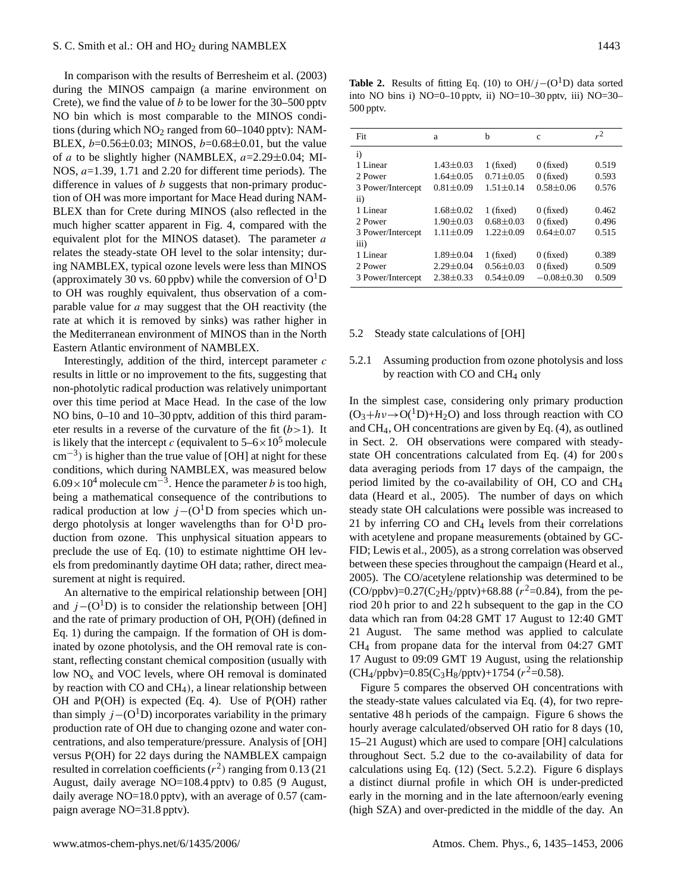In comparison with the results of Berresheim et al. (2003) during the MINOS campaign (a marine environment on Crete), we find the value of  $b$  to be lower for the 30–500 pptv NO bin which is most comparable to the MINOS conditions (during which  $NO<sub>2</sub>$  ranged from 60–1040 pptv): NAM-BLEX,  $b=0.56\pm0.03$ ; MINOS,  $b=0.68\pm0.01$ , but the value of a to be slightly higher (NAMBLEX,  $a=2.29\pm0.04$ ; MI-NOS,  $a=1.39$ , 1.71 and 2.20 for different time periods). The difference in values of  $b$  suggests that non-primary production of OH was more important for Mace Head during NAM-BLEX than for Crete during MINOS (also reflected in the much higher scatter apparent in Fig. 4, compared with the equivalent plot for the MINOS dataset). The parameter  $a$ relates the steady-state OH level to the solar intensity; during NAMBLEX, typical ozone levels were less than MINOS (approximately 30 vs. 60 ppbv) while the conversion of  $O<sup>1</sup>D$ to OH was roughly equivalent, thus observation of a comparable value for a may suggest that the OH reactivity (the rate at which it is removed by sinks) was rather higher in the Mediterranean environment of MINOS than in the North Eastern Atlantic environment of NAMBLEX.

Interestingly, addition of the third, intercept parameter  $c$ results in little or no improvement to the fits, suggesting that non-photolytic radical production was relatively unimportant over this time period at Mace Head. In the case of the low NO bins, 0–10 and 10–30 pptv, addition of this third parameter results in a reverse of the curvature of the fit  $(b>1)$ . It is likely that the intercept c (equivalent to  $5-6\times10^5$  molecule cm<sup>-3</sup>) is higher than the true value of [OH] at night for these conditions, which during NAMBLEX, was measured below  $6.09 \times 10^4$  molecule cm<sup>-3</sup>. Hence the parameter *b* is too high, being a mathematical consequence of the contributions to radical production at low  $j-(O<sup>1</sup>D$  from species which undergo photolysis at longer wavelengths than for  $O<sup>1</sup>D$  production from ozone. This unphysical situation appears to preclude the use of Eq. (10) to estimate nighttime OH levels from predominantly daytime OH data; rather, direct measurement at night is required.

An alternative to the empirical relationship between [OH] and  $j-(O<sup>1</sup>D)$  is to consider the relationship between [OH] and the rate of primary production of OH, P(OH) (defined in Eq. 1) during the campaign. If the formation of OH is dominated by ozone photolysis, and the OH removal rate is constant, reflecting constant chemical composition (usually with low  $NO<sub>x</sub>$  and VOC levels, where OH removal is dominated by reaction with CO and CH4), a linear relationship between OH and P(OH) is expected (Eq. 4). Use of P(OH) rather than simply  $j-(O<sup>1</sup>D)$  incorporates variability in the primary production rate of OH due to changing ozone and water concentrations, and also temperature/pressure. Analysis of [OH] versus P(OH) for 22 days during the NAMBLEX campaign resulted in correlation coefficients  $(r^2)$  ranging from 0.13 (21) August, daily average NO=108.4 pptv) to 0.85 (9 August, daily average NO=18.0 pptv), with an average of 0.57 (campaign average NO=31.8 pptv).

**Table 2.** Results of fitting Eq. (10) to OH/ $j - (O^1D)$  data sorted into NO bins i) NO=0–10 pptv, ii) NO=10–30 pptv, iii) NO=30– 500 pptv.

| Fit               | a               | h               | c              | $r^2$ |
|-------------------|-----------------|-----------------|----------------|-------|
| $\mathbf{i}$      |                 |                 |                |       |
| 1 Linear          | $1.43 \pm 0.03$ | $1$ (fixed)     | $0$ (fixed)    | 0.519 |
| 2 Power           | $1.64 + 0.05$   | $0.71 + 0.05$   | $0$ (fixed)    | 0.593 |
| 3 Power/Intercept | $0.81 \pm 0.09$ | $1.51 + 0.14$   | $0.58 + 0.06$  | 0.576 |
| ii)               |                 |                 |                |       |
| 1 Linear          | $1.68 + 0.02$   | $1$ (fixed)     | $0$ (fixed)    | 0.462 |
| 2 Power           | $1.90 + 0.03$   | $0.68 + 0.03$   | $0$ (fixed)    | 0.496 |
| 3 Power/Intercept | $1.11 \pm 0.09$ | $1.22 + 0.09$   | $0.64 + 0.07$  | 0.515 |
| iii)              |                 |                 |                |       |
| 1 Linear          | $1.89 \pm 0.04$ | $1$ (fixed)     | $0$ (fixed)    | 0.389 |
| 2 Power           | $2.29 + 0.04$   | $0.56 \pm 0.03$ | $0$ (fixed)    | 0.509 |
| 3 Power/Intercept | $2.38 \pm 0.33$ | $0.54 + 0.09$   | $-0.08 + 0.30$ | 0.509 |
|                   |                 |                 |                |       |

#### 5.2 Steady state calculations of [OH]

# 5.2.1 Assuming production from ozone photolysis and loss by reaction with  $CO$  and  $CH<sub>4</sub>$  only

In the simplest case, considering only primary production  $(O_3+h\nu\rightarrow O(^1D)+H_2O)$  and loss through reaction with CO and CH4, OH concentrations are given by Eq. (4), as outlined in Sect. 2. OH observations were compared with steadystate OH concentrations calculated from Eq. (4) for 200 s data averaging periods from 17 days of the campaign, the period limited by the co-availability of OH, CO and CH<sup>4</sup> data (Heard et al., 2005). The number of days on which steady state OH calculations were possible was increased to 21 by inferring  $CO$  and  $CH<sub>4</sub>$  levels from their correlations with acetylene and propane measurements (obtained by GC-FID; Lewis et al., 2005), as a strong correlation was observed between these species throughout the campaign (Heard et al., 2005). The CO/acetylene relationship was determined to be  $(CO/ppbv) = 0.27(C_2H_2/pptv) + 68.88 (r^2 = 0.84)$ , from the period 20 h prior to and 22 h subsequent to the gap in the CO data which ran from 04:28 GMT 17 August to 12:40 GMT 21 August. The same method was applied to calculate CH<sup>4</sup> from propane data for the interval from 04:27 GMT 17 August to 09:09 GMT 19 August, using the relationship  $(CH_4/ppbv) = 0.85(C_3H_8/pptv) + 1754 (r^2=0.58).$ 

Figure 5 compares the observed OH concentrations with the steady-state values calculated via Eq. (4), for two representative 48 h periods of the campaign. Figure 6 shows the hourly average calculated/observed OH ratio for 8 days (10, 15–21 August) which are used to compare [OH] calculations throughout Sect. 5.2 due to the co-availability of data for calculations using Eq. (12) (Sect. 5.2.2). Figure 6 displays a distinct diurnal profile in which OH is under-predicted early in the morning and in the late afternoon/early evening (high SZA) and over-predicted in the middle of the day. An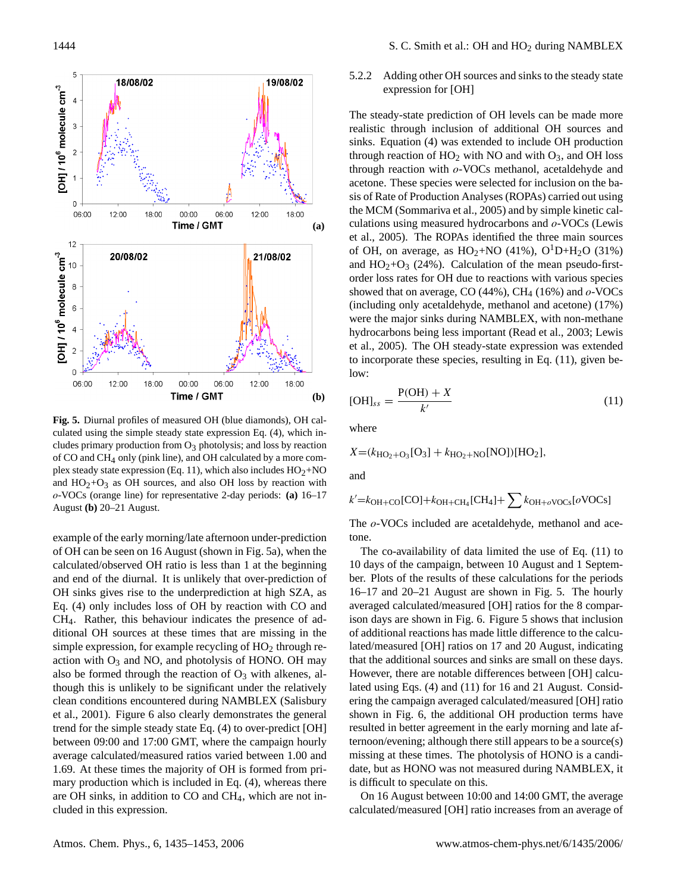

**Fig. 5.** Diurnal profiles of measured OH (blue diamonds), OH calculated using the simple steady state expression Eq. (4), which includes primary production from  $O_3$  photolysis; and loss by reaction of CO and CH4 only (pink line), and OH calculated by a more complex steady state expression (Eq. 11), which also includes  $HO<sub>2</sub>+NO$ and  $HO_2+O_3$  as OH sources, and also OH loss by reaction with o-VOCs (orange line) for representative 2-day periods: **(a)** 16–17 August **(b)** 20–21 August.

example of the early morning/late afternoon under-prediction of OH can be seen on 16 August (shown in Fig. 5a), when the calculated/observed OH ratio is less than 1 at the beginning and end of the diurnal. It is unlikely that over-prediction of OH sinks gives rise to the underprediction at high SZA, as Eq. (4) only includes loss of OH by reaction with CO and CH4. Rather, this behaviour indicates the presence of additional OH sources at these times that are missing in the simple expression, for example recycling of HO<sub>2</sub> through reaction with  $O_3$  and NO, and photolysis of HONO. OH may also be formed through the reaction of  $O_3$  with alkenes, although this is unlikely to be significant under the relatively clean conditions encountered during NAMBLEX (Salisbury et al., 2001). Figure 6 also clearly demonstrates the general trend for the simple steady state Eq. (4) to over-predict [OH] between 09:00 and 17:00 GMT, where the campaign hourly average calculated/measured ratios varied between 1.00 and 1.69. At these times the majority of OH is formed from primary production which is included in Eq. (4), whereas there are OH sinks, in addition to CO and CH4, which are not included in this expression.

5.2.2 Adding other OH sources and sinks to the steady state expression for [OH]

The steady-state prediction of OH levels can be made more realistic through inclusion of additional OH sources and sinks. Equation (4) was extended to include OH production through reaction of  $HO_2$  with NO and with  $O_3$ , and OH loss through reaction with o-VOCs methanol, acetaldehyde and acetone. These species were selected for inclusion on the basis of Rate of Production Analyses (ROPAs) carried out using the MCM (Sommariva et al., 2005) and by simple kinetic calculations using measured hydrocarbons and o-VOCs (Lewis et al., 2005). The ROPAs identified the three main sources of OH, on average, as  $HO_2+NO$  (41%),  $O^1D+H_2O$  (31%) and  $HO_2+O_3$  (24%). Calculation of the mean pseudo-firstorder loss rates for OH due to reactions with various species showed that on average, CO (44%), CH<sub>4</sub> (16%) and  $o$ -VOCs (including only acetaldehyde, methanol and acetone) (17%) were the major sinks during NAMBLEX, with non-methane hydrocarbons being less important (Read et al., 2003; Lewis et al., 2005). The OH steady-state expression was extended to incorporate these species, resulting in Eq. (11), given below:

$$
[OH]_{ss} = \frac{P(OH) + X}{k'}
$$
\n<sup>(11)</sup>

where

 $X = (k_{\text{HO}_2 + \text{O}_3}[\text{O}_3] + k_{\text{HO}_2 + \text{NO}}[\text{NO}])[\text{HO}_2],$ 

and

$$
k'=k_{\text{OH}+\text{CO}}[\text{CO}]+k_{\text{OH}+\text{CH}_4}[\text{CH}_4]+\sum k_{\text{OH}+o}\text{VOCs}[\text{o}\text{VOCs}]
$$

The  $o$ -VOCs included are acetaldehyde, methanol and acetone.

The co-availability of data limited the use of Eq. (11) to 10 days of the campaign, between 10 August and 1 September. Plots of the results of these calculations for the periods 16–17 and 20–21 August are shown in Fig. 5. The hourly averaged calculated/measured [OH] ratios for the 8 comparison days are shown in Fig. 6. Figure 5 shows that inclusion of additional reactions has made little difference to the calculated/measured [OH] ratios on 17 and 20 August, indicating that the additional sources and sinks are small on these days. However, there are notable differences between [OH] calculated using Eqs. (4) and (11) for 16 and 21 August. Considering the campaign averaged calculated/measured [OH] ratio shown in Fig. 6, the additional OH production terms have resulted in better agreement in the early morning and late afternoon/evening; although there still appears to be a source(s) missing at these times. The photolysis of HONO is a candidate, but as HONO was not measured during NAMBLEX, it is difficult to speculate on this.

On 16 August between 10:00 and 14:00 GMT, the average calculated/measured [OH] ratio increases from an average of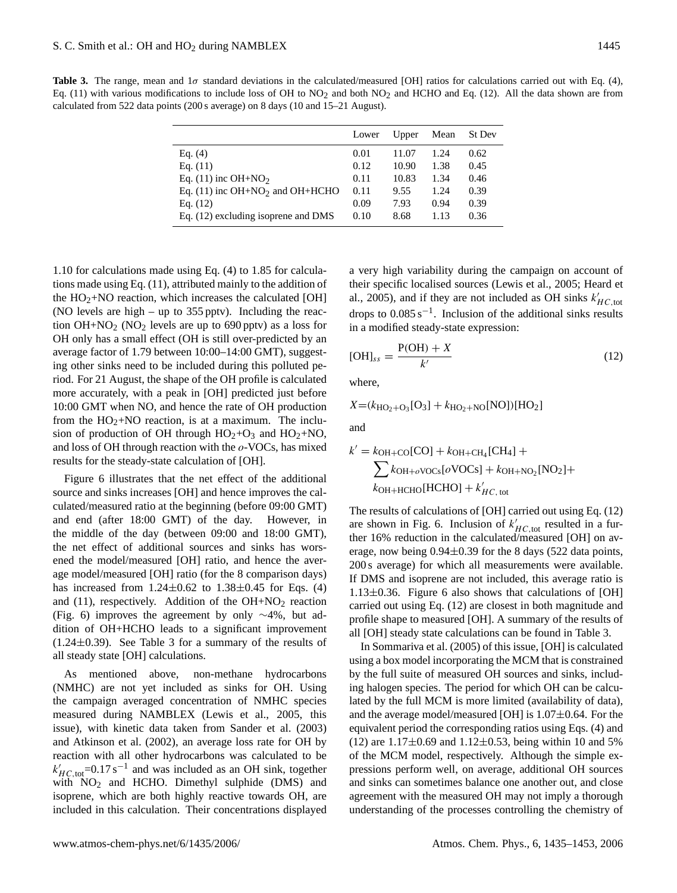**Table 3.** The range, mean and  $1\sigma$  standard deviations in the calculated/measured [OH] ratios for calculations carried out with Eq. (4), Eq. (11) with various modifications to include loss of OH to  $NO<sub>2</sub>$  and both  $NO<sub>2</sub>$  and HCHO and Eq. (12). All the data shown are from calculated from 522 data points (200 s average) on 8 days (10 and 15–21 August).

|                                               | Lower | Upper | Mean | St Dev |
|-----------------------------------------------|-------|-------|------|--------|
| Eq. $(4)$                                     | 0.01  | 11.07 | 1.24 | 0.62   |
| Eq. $(11)$                                    | 0.12  | 10.90 | 1.38 | 0.45   |
| Eq. $(11)$ inc OH+NO <sub>2</sub>             | 0.11  | 10.83 | 1.34 | 0.46   |
| Eq. $(11)$ inc OH+NO <sub>2</sub> and OH+HCHO | 0.11  | 9.55  | 1.24 | 0.39   |
| Eq. $(12)$                                    | 0.09  | 7.93  | 0.94 | 0.39   |
| Eq. (12) excluding isoprene and DMS           | 0.10  | 8.68  | 1.13 | 0.36   |

1.10 for calculations made using Eq. (4) to 1.85 for calculations made using Eq. (11), attributed mainly to the addition of the  $HO<sub>2</sub>+NO$  reaction, which increases the calculated [OH] (NO levels are high – up to 355 pptv). Including the reaction  $OH + NO_2$  (NO<sub>2</sub> levels are up to 690 pptv) as a loss for OH only has a small effect (OH is still over-predicted by an average factor of 1.79 between 10:00–14:00 GMT), suggesting other sinks need to be included during this polluted period. For 21 August, the shape of the OH profile is calculated more accurately, with a peak in [OH] predicted just before 10:00 GMT when NO, and hence the rate of OH production from the  $HO<sub>2</sub>+NO$  reaction, is at a maximum. The inclusion of production of OH through  $HO_2+O_3$  and  $HO_2+NO$ , and loss of OH through reaction with the  $o$ -VOCs, has mixed results for the steady-state calculation of [OH].

Figure 6 illustrates that the net effect of the additional source and sinks increases [OH] and hence improves the calculated/measured ratio at the beginning (before 09:00 GMT) and end (after 18:00 GMT) of the day. However, in the middle of the day (between 09:00 and 18:00 GMT), the net effect of additional sources and sinks has worsened the model/measured [OH] ratio, and hence the average model/measured [OH] ratio (for the 8 comparison days) has increased from  $1.24 \pm 0.62$  to  $1.38 \pm 0.45$  for Eqs. (4) and (11), respectively. Addition of the  $OH + NO<sub>2</sub>$  reaction (Fig. 6) improves the agreement by only ∼4%, but addition of OH+HCHO leads to a significant improvement  $(1.24\pm0.39)$ . See Table 3 for a summary of the results of all steady state [OH] calculations.

As mentioned above, non-methane hydrocarbons (NMHC) are not yet included as sinks for OH. Using the campaign averaged concentration of NMHC species measured during NAMBLEX (Lewis et al., 2005, this issue), with kinetic data taken from Sander et al. (2003) and Atkinson et al. (2002), an average loss rate for OH by reaction with all other hydrocarbons was calculated to be  $k'_{HC, \text{tot}}$ =0.17 s<sup>-1</sup> and was included as an OH sink, together with  $NO<sub>2</sub>$  and HCHO. Dimethyl sulphide (DMS) and isoprene, which are both highly reactive towards OH, are included in this calculation. Their concentrations displayed a very high variability during the campaign on account of their specific localised sources (Lewis et al., 2005; Heard et al., 2005), and if they are not included as OH sinks  $k'_{HC, tot}$ drops to  $0.085 \text{ s}^{-1}$ . Inclusion of the additional sinks results in a modified steady-state expression:

$$
[OH]_{ss} = \frac{P(OH) + X}{k'}
$$
 (12)

where,

$$
X = (k_{\text{HO}_2 + \text{O}_3}[\text{O}_3] + k_{\text{HO}_2 + \text{NO}}[\text{NO}])[\text{HO}_2]
$$

and

$$
k' = k_{\text{OH}+\text{CO}}[\text{CO}] + k_{\text{OH}+\text{CH}_4}[\text{CH}_4] +
$$
  

$$
\sum k_{\text{OH}+\text{oVOCs}}[o\text{VOCs}] + k_{\text{OH}+\text{NO}_2}[\text{NO}_2] +
$$
  

$$
k_{\text{OH}+\text{HCHO}}[\text{HCHO}] + k'_{\text{HC, tot}}
$$

The results of calculations of [OH] carried out using Eq. (12) are shown in Fig. 6. Inclusion of  $k'_{HC, tot}$  resulted in a further 16% reduction in the calculated/measured [OH] on average, now being  $0.94\pm0.39$  for the 8 days (522 data points, 200 s average) for which all measurements were available. If DMS and isoprene are not included, this average ratio is  $1.13\pm0.36$ . Figure 6 also shows that calculations of [OH] carried out using Eq. (12) are closest in both magnitude and profile shape to measured [OH]. A summary of the results of all [OH] steady state calculations can be found in Table 3.

In Sommariva et al. (2005) of this issue, [OH] is calculated using a box model incorporating the MCM that is constrained by the full suite of measured OH sources and sinks, including halogen species. The period for which OH can be calculated by the full MCM is more limited (availability of data), and the average model/measured [OH] is  $1.07\pm0.64$ . For the equivalent period the corresponding ratios using Eqs. (4) and (12) are  $1.17 \pm 0.69$  and  $1.12 \pm 0.53$ , being within 10 and 5% of the MCM model, respectively. Although the simple expressions perform well, on average, additional OH sources and sinks can sometimes balance one another out, and close agreement with the measured OH may not imply a thorough understanding of the processes controlling the chemistry of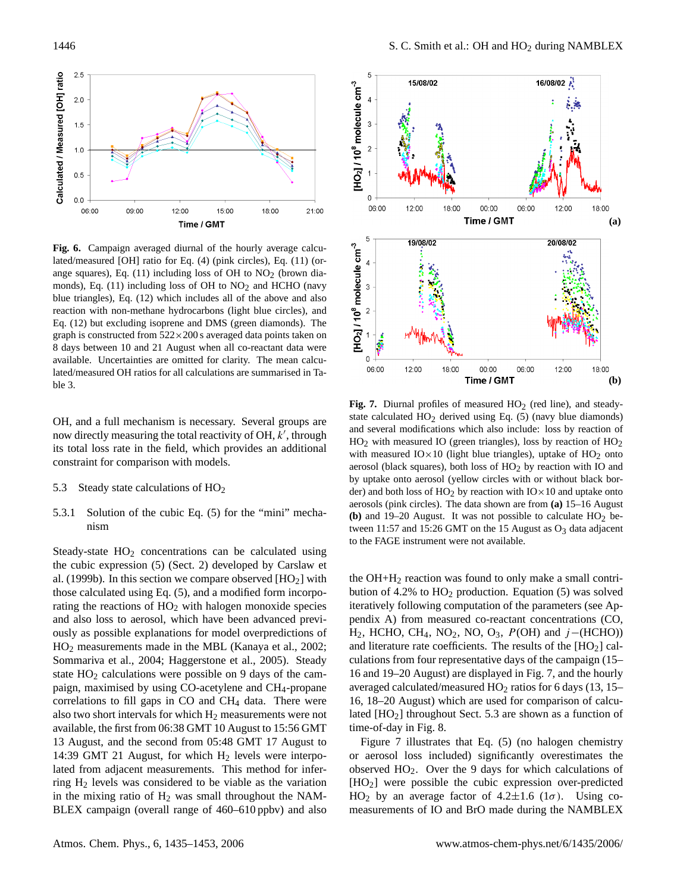

**Fig. 6.** Campaign averaged diurnal of the hourly average calculated/measured [OH] ratio for Eq. (4) (pink circles), Eq. (11) (orange squares), Eq.  $(11)$  including loss of OH to NO<sub>2</sub> (brown diamonds), Eq.  $(11)$  including loss of OH to NO<sub>2</sub> and HCHO (navy blue triangles), Eq. (12) which includes all of the above and also reaction with non-methane hydrocarbons (light blue circles), and Eq. (12) but excluding isoprene and DMS (green diamonds). The graph is constructed from  $522 \times 200$  s averaged data points taken on 8 days between 10 and 21 August when all co-reactant data were available. Uncertainties are omitted for clarity. The mean calculated/measured OH ratios for all calculations are summarised in Table 3.

OH, and a full mechanism is necessary. Several groups are now directly measuring the total reactivity of OH,  $k'$ , through its total loss rate in the field, which provides an additional constraint for comparison with models.

- 5.3 Steady state calculations of  $HO<sub>2</sub>$
- 5.3.1 Solution of the cubic Eq. (5) for the "mini" mechanism

Steady-state  $HO<sub>2</sub>$  concentrations can be calculated using the cubic expression (5) (Sect. 2) developed by Carslaw et al. (1999b). In this section we compare observed  $[HO<sub>2</sub>]$  with those calculated using Eq. (5), and a modified form incorporating the reactions of  $HO<sub>2</sub>$  with halogen monoxide species and also loss to aerosol, which have been advanced previously as possible explanations for model overpredictions of HO<sup>2</sup> measurements made in the MBL (Kanaya et al., 2002; Sommariva et al., 2004; Haggerstone et al., 2005). Steady state  $HO<sub>2</sub>$  calculations were possible on 9 days of the campaign, maximised by using CO-acetylene and CH4-propane correlations to fill gaps in  $CO$  and  $CH<sub>4</sub>$  data. There were also two short intervals for which  $H_2$  measurements were not available, the first from 06:38 GMT 10 August to 15:56 GMT 13 August, and the second from 05:48 GMT 17 August to 14:39 GMT 21 August, for which  $H_2$  levels were interpolated from adjacent measurements. This method for inferring  $H_2$  levels was considered to be viable as the variation in the mixing ratio of  $H_2$  was small throughout the NAM-BLEX campaign (overall range of 460–610 ppbv) and also



**Fig. 7.** Diurnal profiles of measured  $HO<sub>2</sub>$  (red line), and steadystate calculated  $HO<sub>2</sub>$  derived using Eq. (5) (navy blue diamonds) and several modifications which also include: loss by reaction of  $HO<sub>2</sub>$  with measured IO (green triangles), loss by reaction of  $HO<sub>2</sub>$ with measured  $IO \times 10$  (light blue triangles), uptake of  $HO<sub>2</sub>$  onto aerosol (black squares), both loss of  $HO<sub>2</sub>$  by reaction with IO and by uptake onto aerosol (yellow circles with or without black border) and both loss of  $HO<sub>2</sub>$  by reaction with  $IO \times 10$  and uptake onto aerosols (pink circles). The data shown are from **(a)** 15–16 August **(b)** and 19–20 August. It was not possible to calculate  $HO_2$  between 11:57 and 15:26 GMT on the 15 August as  $O_3$  data adjacent to the FAGE instrument were not available.

the OH+H<sup>2</sup> reaction was found to only make a small contribution of 4.2% to  $HO<sub>2</sub>$  production. Equation (5) was solved iteratively following computation of the parameters (see Appendix A) from measured co-reactant concentrations (CO, H<sub>2</sub>, HCHO, CH<sub>4</sub>, NO<sub>2</sub>, NO, O<sub>3</sub>, P(OH) and j–(HCHO)) and literature rate coefficients. The results of the  $[HO<sub>2</sub>]$  calculations from four representative days of the campaign (15– 16 and 19–20 August) are displayed in Fig. 7, and the hourly averaged calculated/measured  $HO<sub>2</sub>$  ratios for 6 days (13, 15– 16, 18–20 August) which are used for comparison of calculated  $[HO_2]$  throughout Sect. 5.3 are shown as a function of time-of-day in Fig. 8.

Figure 7 illustrates that Eq. (5) (no halogen chemistry or aerosol loss included) significantly overestimates the observed HO2. Over the 9 days for which calculations of [HO2] were possible the cubic expression over-predicted HO<sub>2</sub> by an average factor of  $4.2 \pm 1.6$  ( $1\sigma$ ). Using comeasurements of IO and BrO made during the NAMBLEX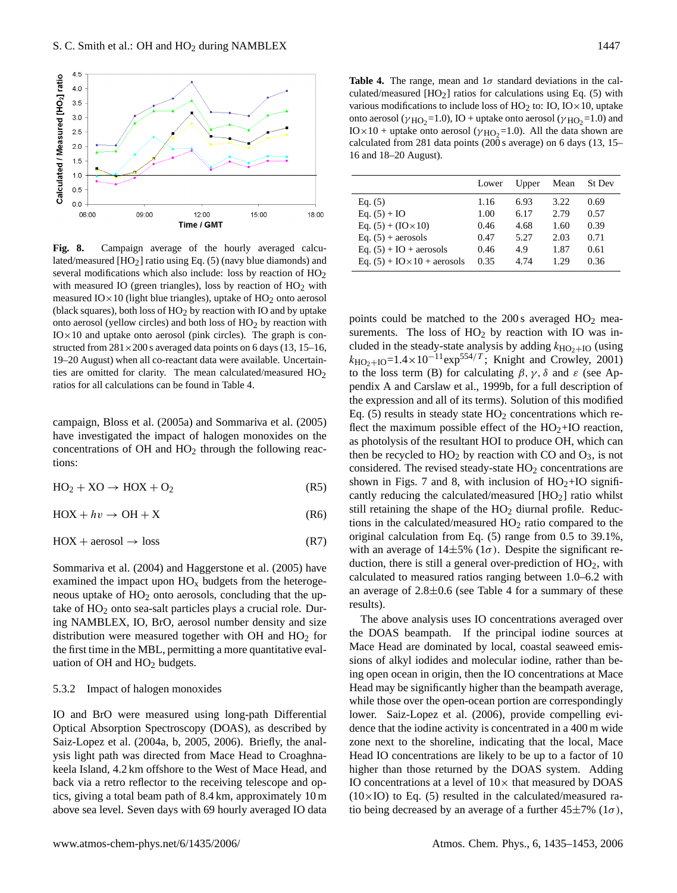

**Fig. 8.** Campaign average of the hourly averaged calculated/measured  $[HO<sub>2</sub>]$  ratio using Eq. (5) (navy blue diamonds) and several modifications which also include: loss by reaction of  $HO<sub>2</sub>$ with measured IO (green triangles), loss by reaction of  $HO<sub>2</sub>$  with measured  $IO \times 10$  (light blue triangles), uptake of  $HO<sub>2</sub>$  onto aerosol (black squares), both loss of  $HO<sub>2</sub>$  by reaction with IO and by uptake onto aerosol (yellow circles) and both loss of  $HO<sub>2</sub>$  by reaction with  $IO \times 10$  and uptake onto aerosol (pink circles). The graph is constructed from  $281\times200$  s averaged data points on 6 days (13, 15–16, 19–20 August) when all co-reactant data were available. Uncertainties are omitted for clarity. The mean calculated/measured HO<sub>2</sub> ratios for all calculations can be found in Table 4.

campaign, Bloss et al. (2005a) and Sommariva et al. (2005) have investigated the impact of halogen monoxides on the concentrations of  $OH$  and  $HO<sub>2</sub>$  through the following reactions:

 $HO<sub>2</sub> + XO \rightarrow HOX + O<sub>2</sub>$  (R5)

$$
HOX + hv \to OH + X \tag{R6}
$$

$$
HOX + aerosol \to loss
$$
 (R7)

Sommariva et al. (2004) and Haggerstone et al. (2005) have examined the impact upon  $HO_x$  budgets from the heterogeneous uptake of  $HO<sub>2</sub>$  onto aerosols, concluding that the uptake of  $HO<sub>2</sub>$  onto sea-salt particles plays a crucial role. During NAMBLEX, IO, BrO, aerosol number density and size distribution were measured together with OH and  $HO<sub>2</sub>$  for the first time in the MBL, permitting a more quantitative evaluation of  $OH$  and  $HO<sub>2</sub>$  budgets.

#### 5.3.2 Impact of halogen monoxides

IO and BrO were measured using long-path Differential Optical Absorption Spectroscopy (DOAS), as described by Saiz-Lopez et al. (2004a, b, 2005, 2006). Briefly, the analysis light path was directed from Mace Head to Croaghnakeela Island, 4.2 km offshore to the West of Mace Head, and back via a retro reflector to the receiving telescope and optics, giving a total beam path of 8.4 km, approximately 10 m above sea level. Seven days with 69 hourly averaged IO data

**Table 4.** The range, mean and  $1\sigma$  standard deviations in the calculated/measured  $[HO<sub>2</sub>]$  ratios for calculations using Eq. (5) with various modifications to include loss of  $HO_2$  to:  $IO$ ,  $IO \times 10$ , uptake onto aerosol ( $\gamma$ <sub>HO2</sub>=1.0), IO + uptake onto aerosol ( $\gamma$ <sub>HO2</sub>=1.0) and IO × 10 + uptake onto aerosol ( $\gamma$ <sub>HO2</sub>=1.0). All the data shown are calculated from 281 data points (200 s average) on 6 days (13, 15– 16 and 18–20 August).

|                                       | Lower | Upper | Mean | St Dev |
|---------------------------------------|-------|-------|------|--------|
| Eq. $(5)$                             | 1.16  | 6.93  | 3.22 | 0.69   |
| Eq. $(5) + IO$                        | 1.00  | 6.17  | 2.79 | 0.57   |
| Eq. $(5) + (IO \times 10)$            | 0.46  | 4.68  | 1.60 | 0.39   |
| Eq. $(5)$ + aerosols                  | 0.47  | 5.27  | 2.03 | 0.71   |
| Eq. $(5) + IO + \text{aerosols}$      | 0.46  | 4.9   | 1.87 | 0.61   |
| Eq. $(5) +$ IO $\times$ 10 + aerosols | 0.35  | 4.74  | 1.29 | 0.36   |

points could be matched to the  $200 s$  averaged  $HO<sub>2</sub>$  measurements. The loss of  $HO<sub>2</sub>$  by reaction with IO was included in the steady-state analysis by adding  $k_{\text{HO}_2+\text{IO}}$  (using  $k_{\text{HO}_2+\text{IO}}=1.4\times10^{-11}\text{exp}^{554/T}$ ; Knight and Crowley, 2001) to the loss term (B) for calculating  $\beta$ ,  $\gamma$ ,  $\delta$  and  $\varepsilon$  (see Appendix A and Carslaw et al., 1999b, for a full description of the expression and all of its terms). Solution of this modified Eq. (5) results in steady state  $HO<sub>2</sub>$  concentrations which reflect the maximum possible effect of the  $HO<sub>2</sub>+IO$  reaction, as photolysis of the resultant HOI to produce OH, which can then be recycled to  $HO<sub>2</sub>$  by reaction with CO and  $O<sub>3</sub>$ , is not considered. The revised steady-state  $HO<sub>2</sub>$  concentrations are shown in Figs. 7 and 8, with inclusion of  $HO<sub>2</sub>+IO$  significantly reducing the calculated/measured  $[HO<sub>2</sub>]$  ratio whilst still retaining the shape of the  $HO<sub>2</sub>$  diurnal profile. Reductions in the calculated/measured  $HO<sub>2</sub>$  ratio compared to the original calculation from Eq. (5) range from 0.5 to 39.1%, with an average of  $14\pm5\%$  ( $1\sigma$ ). Despite the significant reduction, there is still a general over-prediction of  $HO<sub>2</sub>$ , with calculated to measured ratios ranging between 1.0–6.2 with an average of  $2.8\pm0.6$  (see Table 4 for a summary of these results).

The above analysis uses IO concentrations averaged over the DOAS beampath. If the principal iodine sources at Mace Head are dominated by local, coastal seaweed emissions of alkyl iodides and molecular iodine, rather than being open ocean in origin, then the IO concentrations at Mace Head may be significantly higher than the beampath average, while those over the open-ocean portion are correspondingly lower. Saiz-Lopez et al. (2006), provide compelling evidence that the iodine activity is concentrated in a 400 m wide zone next to the shoreline, indicating that the local, Mace Head IO concentrations are likely to be up to a factor of 10 higher than those returned by the DOAS system. Adding IO concentrations at a level of  $10\times$  that measured by DOAS  $(10\times10)$  to Eq. (5) resulted in the calculated/measured ratio being decreased by an average of a further  $45\pm7\%$  ( $1\sigma$ ),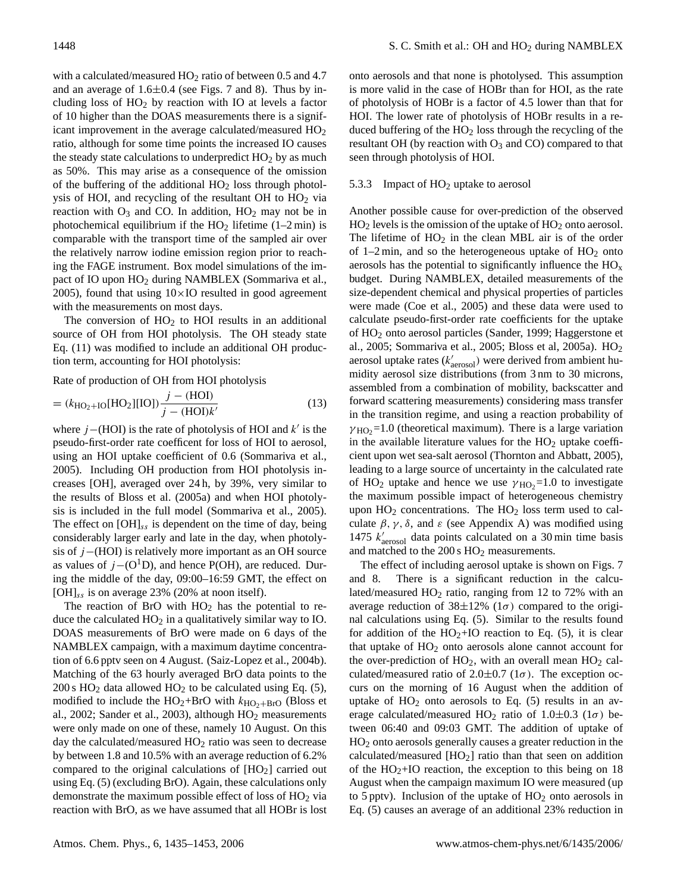with a calculated/measured  $HO<sub>2</sub>$  ratio of between 0.5 and 4.7 and an average of  $1.6\pm0.4$  (see Figs. 7 and 8). Thus by including loss of  $HO<sub>2</sub>$  by reaction with IO at levels a factor of 10 higher than the DOAS measurements there is a significant improvement in the average calculated/measured  $HO<sub>2</sub>$ ratio, although for some time points the increased IO causes the steady state calculations to underpredict  $HO<sub>2</sub>$  by as much as 50%. This may arise as a consequence of the omission of the buffering of the additional  $HO<sub>2</sub>$  loss through photolysis of HOI, and recycling of the resultant OH to HO<sup>2</sup> via reaction with  $O_3$  and CO. In addition,  $HO_2$  may not be in photochemical equilibrium if the  $HO<sub>2</sub>$  lifetime (1–2 min) is comparable with the transport time of the sampled air over the relatively narrow iodine emission region prior to reaching the FAGE instrument. Box model simulations of the impact of IO upon HO<sub>2</sub> during NAMBLEX (Sommariva et al., 2005), found that using  $10\times$ IO resulted in good agreement with the measurements on most days.

The conversion of  $HO<sub>2</sub>$  to HOI results in an additional source of OH from HOI photolysis. The OH steady state Eq. (11) was modified to include an additional OH production term, accounting for HOI photolysis:

Rate of production of OH from HOI photolysis

$$
= (k_{\text{HO}_2 + \text{IO}}[\text{HO}_2][\text{IO}]) \frac{j - (\text{HOI})}{j - (\text{HOI})k'}
$$
(13)

where  $j$  –(HOI) is the rate of photolysis of HOI and  $k'$  is the pseudo-first-order rate coefficent for loss of HOI to aerosol, using an HOI uptake coefficient of 0.6 (Sommariva et al., 2005). Including OH production from HOI photolysis increases [OH], averaged over 24 h, by 39%, very similar to the results of Bloss et al. (2005a) and when HOI photolysis is included in the full model (Sommariva et al., 2005). The effect on  $[OH]_{ss}$  is dependent on the time of day, being considerably larger early and late in the day, when photolysis of j−(HOI) is relatively more important as an OH source as values of  $j-(O<sup>1</sup>D)$ , and hence P(OH), are reduced. During the middle of the day, 09:00–16:59 GMT, the effect on  $[OH]_{ss}$  is on average 23% (20% at noon itself).

The reaction of BrO with  $HO<sub>2</sub>$  has the potential to reduce the calculated  $HO<sub>2</sub>$  in a qualitatively similar way to IO. DOAS measurements of BrO were made on 6 days of the NAMBLEX campaign, with a maximum daytime concentration of 6.6 pptv seen on 4 August. (Saiz-Lopez et al., 2004b). Matching of the 63 hourly averaged BrO data points to the  $200 s$  HO<sub>2</sub> data allowed HO<sub>2</sub> to be calculated using Eq. (5), modified to include the  $HO_2+BrO$  with  $k_{HO_2+BrO}$  (Bloss et al., 2002; Sander et al., 2003), although  $HO<sub>2</sub>$  measurements were only made on one of these, namely 10 August. On this day the calculated/measured  $HO<sub>2</sub>$  ratio was seen to decrease by between 1.8 and 10.5% with an average reduction of 6.2% compared to the original calculations of  $[HO<sub>2</sub>]$  carried out using Eq. (5) (excluding BrO). Again, these calculations only demonstrate the maximum possible effect of loss of  $HO<sub>2</sub>$  via reaction with BrO, as we have assumed that all HOBr is lost onto aerosols and that none is photolysed. This assumption is more valid in the case of HOBr than for HOI, as the rate of photolysis of HOBr is a factor of 4.5 lower than that for HOI. The lower rate of photolysis of HOBr results in a reduced buffering of the  $HO<sub>2</sub>$  loss through the recycling of the resultant OH (by reaction with  $O_3$  and CO) compared to that seen through photolysis of HOI.

#### 5.3.3 Impact of  $HO<sub>2</sub>$  uptake to aerosol

Another possible cause for over-prediction of the observed  $HO<sub>2</sub>$  levels is the omission of the uptake of  $HO<sub>2</sub>$  onto aerosol. The lifetime of  $HO<sub>2</sub>$  in the clean MBL air is of the order of 1–2 min, and so the heterogeneous uptake of  $HO<sub>2</sub>$  onto aerosols has the potential to significantly influence the  $HO<sub>x</sub>$ budget. During NAMBLEX, detailed measurements of the size-dependent chemical and physical properties of particles were made (Coe et al., 2005) and these data were used to calculate pseudo-first-order rate coefficients for the uptake of HO<sup>2</sup> onto aerosol particles (Sander, 1999; Haggerstone et al., 2005; Sommariva et al., 2005; Bloss et al, 2005a). HO<sup>2</sup> aerosol uptake rates  $(k'_{\text{aerosol}})$  were derived from ambient humidity aerosol size distributions (from 3 nm to 30 microns, assembled from a combination of mobility, backscatter and forward scattering measurements) considering mass transfer in the transition regime, and using a reaction probability of  $\gamma_{\text{HO}_2}$ =1.0 (theoretical maximum). There is a large variation in the available literature values for the  $HO<sub>2</sub>$  uptake coefficient upon wet sea-salt aerosol (Thornton and Abbatt, 2005), leading to a large source of uncertainty in the calculated rate of HO<sub>2</sub> uptake and hence we use  $\gamma$ <sub>HO2</sub>=1.0 to investigate the maximum possible impact of heterogeneous chemistry upon  $HO<sub>2</sub>$  concentrations. The  $HO<sub>2</sub>$  loss term used to calculate  $\beta$ ,  $\gamma$ ,  $\delta$ , and  $\varepsilon$  (see Appendix A) was modified using 1475  $k'_{\text{aerosol}}$  data points calculated on a 30 min time basis and matched to the  $200 \text{ s } HO_2$  measurements.

The effect of including aerosol uptake is shown on Figs. 7 and 8. There is a significant reduction in the calculated/measured  $HO<sub>2</sub>$  ratio, ranging from 12 to 72% with an average reduction of  $38\pm12\%$  (1 $\sigma$ ) compared to the original calculations using Eq. (5). Similar to the results found for addition of the  $HO_2+IO$  reaction to Eq. (5), it is clear that uptake of  $HO<sub>2</sub>$  onto aerosols alone cannot account for the over-prediction of  $HO<sub>2</sub>$ , with an overall mean  $HO<sub>2</sub>$  calculated/measured ratio of  $2.0\pm0.7$  ( $1\sigma$ ). The exception occurs on the morning of 16 August when the addition of uptake of  $HO<sub>2</sub>$  onto aerosols to Eq. (5) results in an average calculated/measured HO<sub>2</sub> ratio of 1.0 $\pm$ 0.3 (1 $\sigma$ ) between 06:40 and 09:03 GMT. The addition of uptake of HO<sup>2</sup> onto aerosols generally causes a greater reduction in the calculated/measured  $[HO<sub>2</sub>]$  ratio than that seen on addition of the  $HO<sub>2</sub>+IO$  reaction, the exception to this being on 18 August when the campaign maximum IO were measured (up to 5 pptv). Inclusion of the uptake of  $HO<sub>2</sub>$  onto aerosols in Eq. (5) causes an average of an additional 23% reduction in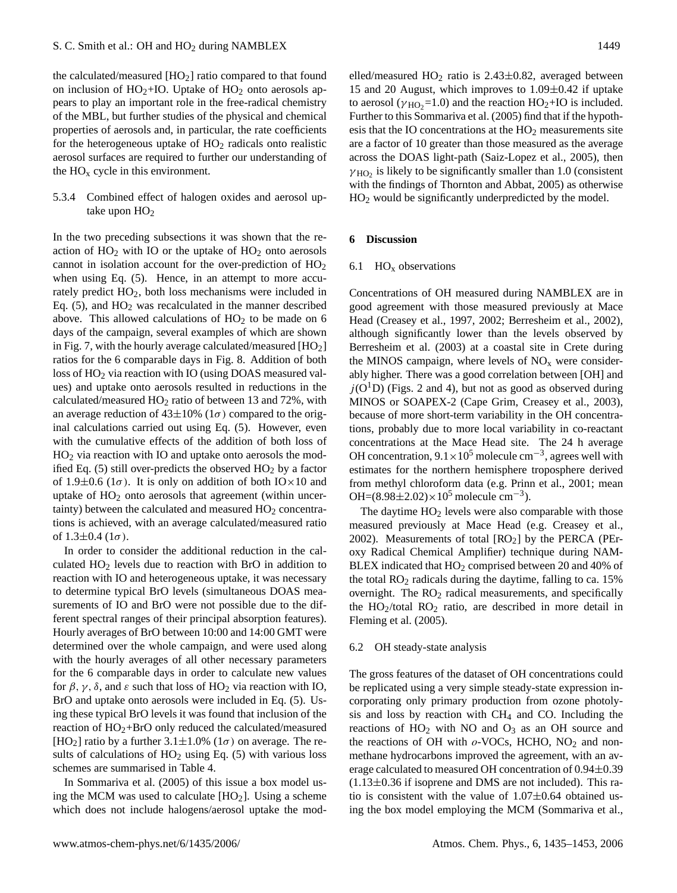the calculated/measured  $[HO<sub>2</sub>]$  ratio compared to that found on inclusion of  $HO_2+IO$ . Uptake of  $HO_2$  onto aerosols appears to play an important role in the free-radical chemistry of the MBL, but further studies of the physical and chemical properties of aerosols and, in particular, the rate coefficients for the heterogeneous uptake of  $HO<sub>2</sub>$  radicals onto realistic aerosol surfaces are required to further our understanding of the  $HO<sub>x</sub>$  cycle in this environment.

5.3.4 Combined effect of halogen oxides and aerosol uptake upon  $HO<sub>2</sub>$ 

In the two preceding subsections it was shown that the reaction of  $HO<sub>2</sub>$  with IO or the uptake of  $HO<sub>2</sub>$  onto aerosols cannot in isolation account for the over-prediction of  $HO<sub>2</sub>$ when using Eq.  $(5)$ . Hence, in an attempt to more accurately predict HO2, both loss mechanisms were included in Eq.  $(5)$ , and  $HO<sub>2</sub>$  was recalculated in the manner described above. This allowed calculations of  $HO<sub>2</sub>$  to be made on 6 days of the campaign, several examples of which are shown in Fig. 7, with the hourly average calculated/measured  $[HO_2]$ ratios for the 6 comparable days in Fig. 8. Addition of both loss of HO<sub>2</sub> via reaction with IO (using DOAS measured values) and uptake onto aerosols resulted in reductions in the calculated/measured  $HO<sub>2</sub>$  ratio of between 13 and 72%, with an average reduction of  $43\pm10\%$  (1 $\sigma$ ) compared to the original calculations carried out using Eq. (5). However, even with the cumulative effects of the addition of both loss of HO<sup>2</sup> via reaction with IO and uptake onto aerosols the modified Eq. (5) still over-predicts the observed  $HO<sub>2</sub>$  by a factor of 1.9 $\pm$ 0.6 (1 $\sigma$ ). It is only on addition of both IO×10 and uptake of  $HO<sub>2</sub>$  onto aerosols that agreement (within uncertainty) between the calculated and measured  $HO<sub>2</sub>$  concentrations is achieved, with an average calculated/measured ratio of  $1.3 \pm 0.4$  ( $1\sigma$ ).

In order to consider the additional reduction in the calculated  $HO<sub>2</sub>$  levels due to reaction with BrO in addition to reaction with IO and heterogeneous uptake, it was necessary to determine typical BrO levels (simultaneous DOAS measurements of IO and BrO were not possible due to the different spectral ranges of their principal absorption features). Hourly averages of BrO between 10:00 and 14:00 GMT were determined over the whole campaign, and were used along with the hourly averages of all other necessary parameters for the 6 comparable days in order to calculate new values for  $\beta$ ,  $\gamma$ ,  $\delta$ , and  $\varepsilon$  such that loss of HO<sub>2</sub> via reaction with IO, BrO and uptake onto aerosols were included in Eq. (5). Using these typical BrO levels it was found that inclusion of the reaction of  $HO<sub>2</sub>+BrO$  only reduced the calculated/measured [HO<sub>2</sub>] ratio by a further  $3.1 \pm 1.0\%$  ( $1\sigma$ ) on average. The results of calculations of  $HO<sub>2</sub>$  using Eq. (5) with various loss schemes are summarised in Table 4.

In Sommariva et al. (2005) of this issue a box model using the MCM was used to calculate  $[HO<sub>2</sub>]$ . Using a scheme which does not include halogens/aerosol uptake the mod-

elled/measured  $HO<sub>2</sub>$  ratio is 2.43 $\pm$ 0.82, averaged between 15 and 20 August, which improves to  $1.09 \pm 0.42$  if uptake to aerosol ( $\gamma$ <sub>HO</sub><sub>2</sub>=1.0) and the reaction HO<sub>2</sub>+IO is included. Further to this Sommariva et al. (2005) find that if the hypothesis that the IO concentrations at the  $HO<sub>2</sub>$  measurements site are a factor of 10 greater than those measured as the average across the DOAS light-path (Saiz-Lopez et al., 2005), then  $\gamma_{\text{HO}_2}$  is likely to be significantly smaller than 1.0 (consistent with the findings of Thornton and Abbat, 2005) as otherwise HO<sup>2</sup> would be significantly underpredicted by the model.

# **6 Discussion**

#### 6.1  $HO_x$  observations

Concentrations of OH measured during NAMBLEX are in good agreement with those measured previously at Mace Head (Creasey et al., 1997, 2002; Berresheim et al., 2002), although significantly lower than the levels observed by Berresheim et al. (2003) at a coastal site in Crete during the MINOS campaign, where levels of  $NO<sub>x</sub>$  were considerably higher. There was a good correlation between [OH] and  $j(O<sup>1</sup>D)$  (Figs. 2 and 4), but not as good as observed during MINOS or SOAPEX-2 (Cape Grim, Creasey et al., 2003), because of more short-term variability in the OH concentrations, probably due to more local variability in co-reactant concentrations at the Mace Head site. The 24 h average OH concentration,  $9.1 \times 10^5$  molecule cm<sup>-3</sup>, agrees well with estimates for the northern hemisphere troposphere derived from methyl chloroform data (e.g. Prinn et al., 2001; mean OH= $(8.98 \pm 2.02) \times 10^5$  molecule cm<sup>-3</sup>).

The daytime  $HO<sub>2</sub>$  levels were also comparable with those measured previously at Mace Head (e.g. Creasey et al., 2002). Measurements of total  $[RO<sub>2</sub>]$  by the PERCA (PEroxy Radical Chemical Amplifier) technique during NAM-BLEX indicated that  $HO<sub>2</sub>$  comprised between 20 and 40% of the total  $RO<sub>2</sub>$  radicals during the daytime, falling to ca. 15% overnight. The  $RO<sub>2</sub>$  radical measurements, and specifically the  $HO_2$ /total  $RO_2$  ratio, are described in more detail in Fleming et al. (2005).

#### 6.2 OH steady-state analysis

The gross features of the dataset of OH concentrations could be replicated using a very simple steady-state expression incorporating only primary production from ozone photolysis and loss by reaction with CH<sup>4</sup> and CO. Including the reactions of  $HO<sub>2</sub>$  with NO and  $O<sub>3</sub>$  as an OH source and the reactions of OH with  $o$ -VOCs, HCHO, NO<sub>2</sub> and nonmethane hydrocarbons improved the agreement, with an average calculated to measured OH concentration of 0.94±0.39  $(1.13\pm0.36$  if isoprene and DMS are not included). This ratio is consistent with the value of  $1.07\pm0.64$  obtained using the box model employing the MCM (Sommariva et al.,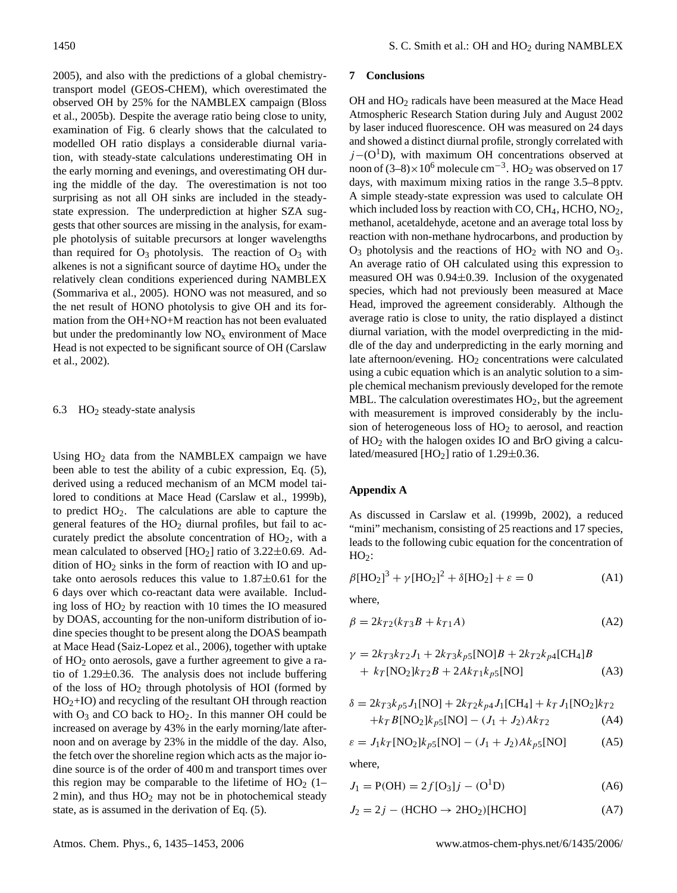2005), and also with the predictions of a global chemistrytransport model (GEOS-CHEM), which overestimated the observed OH by 25% for the NAMBLEX campaign (Bloss et al., 2005b). Despite the average ratio being close to unity, examination of Fig. 6 clearly shows that the calculated to modelled OH ratio displays a considerable diurnal variation, with steady-state calculations underestimating OH in the early morning and evenings, and overestimating OH during the middle of the day. The overestimation is not too surprising as not all OH sinks are included in the steadystate expression. The underprediction at higher SZA suggests that other sources are missing in the analysis, for example photolysis of suitable precursors at longer wavelengths than required for  $O_3$  photolysis. The reaction of  $O_3$  with alkenes is not a significant source of daytime  $HO_x$  under the relatively clean conditions experienced during NAMBLEX (Sommariva et al., 2005). HONO was not measured, and so the net result of HONO photolysis to give OH and its formation from the OH+NO+M reaction has not been evaluated but under the predominantly low  $NO<sub>x</sub>$  environment of Mace Head is not expected to be significant source of OH (Carslaw et al., 2002).

## 6.3  $\text{HO}_2$  steady-state analysis

Using  $HO<sub>2</sub>$  data from the NAMBLEX campaign we have been able to test the ability of a cubic expression, Eq. (5), derived using a reduced mechanism of an MCM model tailored to conditions at Mace Head (Carslaw et al., 1999b), to predict  $HO<sub>2</sub>$ . The calculations are able to capture the general features of the HO<sub>2</sub> diurnal profiles, but fail to accurately predict the absolute concentration of  $HO<sub>2</sub>$ , with a mean calculated to observed  $[HO<sub>2</sub>]$  ratio of 3.22 $\pm$ 0.69. Addition of  $HO<sub>2</sub>$  sinks in the form of reaction with IO and uptake onto aerosols reduces this value to  $1.87 \pm 0.61$  for the 6 days over which co-reactant data were available. Including loss of  $HO<sub>2</sub>$  by reaction with 10 times the IO measured by DOAS, accounting for the non-uniform distribution of iodine species thought to be present along the DOAS beampath at Mace Head (Saiz-Lopez et al., 2006), together with uptake of HO<sup>2</sup> onto aerosols, gave a further agreement to give a ratio of 1.29±0.36. The analysis does not include buffering of the loss of  $HO<sub>2</sub>$  through photolysis of HOI (formed by  $HO<sub>2</sub>+IO$ ) and recycling of the resultant OH through reaction with  $O_3$  and CO back to  $HO_2$ . In this manner OH could be increased on average by 43% in the early morning/late afternoon and on average by 23% in the middle of the day. Also, the fetch over the shoreline region which acts as the major iodine source is of the order of 400 m and transport times over this region may be comparable to the lifetime of  $HO<sub>2</sub>$  (1–  $2 \text{ min}$ ), and thus  $HO<sub>2</sub>$  may not be in photochemical steady state, as is assumed in the derivation of Eq. (5).

# **7 Conclusions**

OH and HO<sup>2</sup> radicals have been measured at the Mace Head Atmospheric Research Station during July and August 2002 by laser induced fluorescence. OH was measured on 24 days and showed a distinct diurnal profile, strongly correlated with  $j-(O<sup>1</sup>D)$ , with maximum OH concentrations observed at noon of  $(3-8) \times 10^6$  molecule cm<sup>-3</sup>. HO<sub>2</sub> was observed on 17 days, with maximum mixing ratios in the range 3.5–8 pptv. A simple steady-state expression was used to calculate OH which included loss by reaction with CO,  $CH_4$ , HCHO, NO<sub>2</sub>, methanol, acetaldehyde, acetone and an average total loss by reaction with non-methane hydrocarbons, and production by  $O_3$  photolysis and the reactions of  $HO_2$  with NO and  $O_3$ . An average ratio of OH calculated using this expression to measured OH was 0.94±0.39. Inclusion of the oxygenated species, which had not previously been measured at Mace Head, improved the agreement considerably. Although the average ratio is close to unity, the ratio displayed a distinct diurnal variation, with the model overpredicting in the middle of the day and underpredicting in the early morning and late afternoon/evening.  $HO<sub>2</sub>$  concentrations were calculated using a cubic equation which is an analytic solution to a simple chemical mechanism previously developed for the remote MBL. The calculation overestimates  $HO<sub>2</sub>$ , but the agreement with measurement is improved considerably by the inclusion of heterogeneous loss of  $HO<sub>2</sub>$  to aerosol, and reaction of HO<sup>2</sup> with the halogen oxides IO and BrO giving a calculated/measured [HO<sub>2</sub>] ratio of 1.29 $\pm$ 0.36.

# **Appendix A**

As discussed in Carslaw et al. (1999b, 2002), a reduced "mini" mechanism, consisting of 25 reactions and 17 species, leads to the following cubic equation for the concentration of  $HO<sub>2</sub>$ :

$$
\beta[\text{HO}_2]^3 + \gamma[\text{HO}_2]^2 + \delta[\text{HO}_2] + \varepsilon = 0 \tag{A1}
$$

where,

$$
\beta = 2k_{T2}(k_{T3}B + k_{T1}A) \tag{A2}
$$

$$
\gamma = 2k_{T3}k_{T2}J_1 + 2k_{T3}k_{p5}[\text{NO}]B + 2k_{T2}k_{p4}[\text{CH}_4]B
$$
  
+  $k_T[\text{NO}_2]k_{T2}B + 2Ak_{T1}k_{p5}[\text{NO}]$  (A3)

$$
\delta = 2k_{T3}k_{p5}J_1[NO] + 2k_{T2}k_{p4}J_1[CH_4] + k_TJ_1[NO_2]k_{T2}
$$
  
+ $k_TB[NO_2]k_{p5}[NO] - (J_1 + J_2)Ak_{T2}$  (A4)

$$
\varepsilon = J_1 k_T [NO_2] k_{p5} [NO] - (J_1 + J_2) Ak_{p5} [NO]
$$
 (A5)

where,

$$
J_1 = P(OH) = 2f[O_3]j - (O^1D)
$$
 (A6)

$$
J_2 = 2j - (HCHO \rightarrow 2HO_2)[HCHO]
$$
 (A7)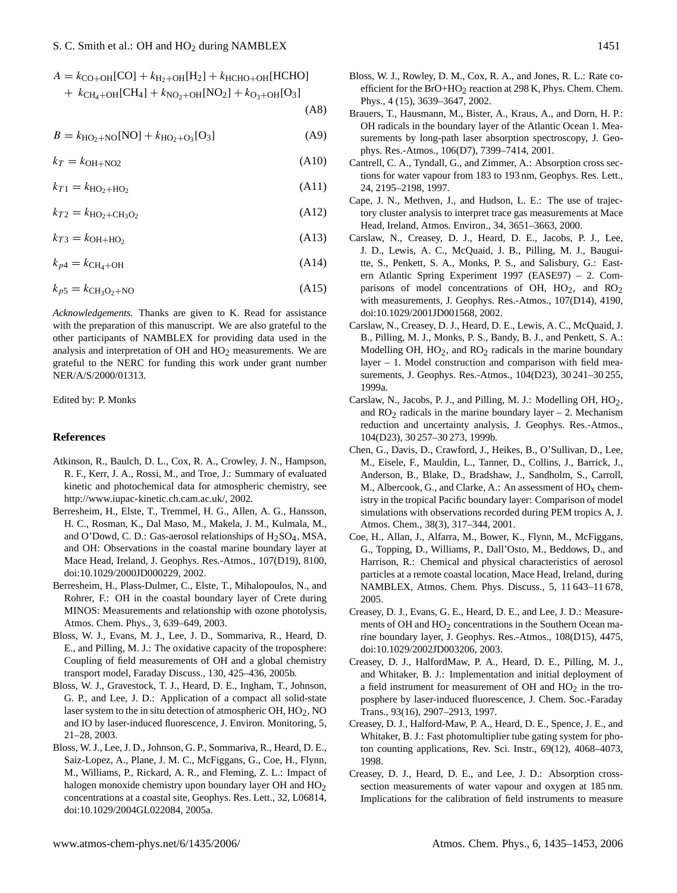|  | $A = k_{\text{CO}+OH}[\text{CO}] + k_{\text{H}_2+OH}[\text{H}_2] + k_{\text{HCHO}+OH}[\text{HCHO}]$ |  |
|--|-----------------------------------------------------------------------------------------------------|--|
|  |                                                                                                     |  |

+  $k_{CH_4+OH}[CH_4]$  +  $k_{NO_2+OH}[NO_2]$  +  $k_{O_3+OH}[O_3]$ 

(A8)

 $B = k_{\text{HO}_2 + \text{NO}}[\text{NO}] + k_{\text{HO}_2 + \text{O}_3}[\text{O}_3]$  (A9)

 $k_T = k_{\text{OH}+\text{NO2}}$  (A10)

 $k_{T1} = k_{HO_2 + HO_2}$ (A11)

 $k_{T2} = k_{HO_2 + CH_3O_2}$ (A12)

 $k_{T3} = k_{\text{OH} + \text{HO}_2}$ (A13)

 $k_{p4} = k_{\text{CH}_4+\text{OH}}$  (A14)

$$
k_{p5} = k_{\text{CH}_3\text{O}_2 + \text{NO}} \tag{A15}
$$

*Acknowledgements.* Thanks are given to K. Read for assistance with the preparation of this manuscript. We are also grateful to the other participants of NAMBLEX for providing data used in the analysis and interpretation of  $OH$  and  $HO<sub>2</sub>$  measurements. We are grateful to the NERC for funding this work under grant number NER/A/S/2000/01313.

Edited by: P. Monks

# **References**

- Atkinson, R., Baulch, D. L., Cox, R. A., Crowley, J. N., Hampson, R. F., Kerr, J. A., Rossi, M., and Troe, J.: Summary of evaluated kinetic and photochemical data for atmospheric chemistry, see [http://www.iupac-kinetic.ch.cam.ac.uk/,](http://www.iupac-kinetic.ch.cam.ac.uk/) 2002.
- Berresheim, H., Elste, T., Tremmel, H. G., Allen, A. G., Hansson, H. C., Rosman, K., Dal Maso, M., Makela, J. M., Kulmala, M., and O'Dowd, C. D.: Gas-aerosol relationships of  $H_2SO_4$ , MSA, and OH: Observations in the coastal marine boundary layer at Mace Head, Ireland, J. Geophys. Res.-Atmos., 107(D19), 8100, doi:10.1029/2000JD000229, 2002.
- Berresheim, H., Plass-Dulmer, C., Elste, T., Mihalopoulos, N., and Rohrer, F.: OH in the coastal boundary layer of Crete during MINOS: Measurements and relationship with ozone photolysis, Atmos. Chem. Phys., 3, 639–649, 2003.
- Bloss, W. J., Evans, M. J., Lee, J. D., Sommariva, R., Heard, D. E., and Pilling, M. J.: The oxidative capacity of the troposphere: Coupling of field measurements of OH and a global chemistry transport model, Faraday Discuss., 130, 425–436, 2005b.
- Bloss, W. J., Gravestock, T. J., Heard, D. E., Ingham, T., Johnson, G. P., and Lee, J. D.: Application of a compact all solid-state laser system to the in situ detection of atmospheric OH,  $HO<sub>2</sub>$ , NO and IO by laser-induced fluorescence, J. Environ. Monitoring, 5, 21–28, 2003.
- Bloss, W. J., Lee, J. D., Johnson, G. P., Sommariva, R., Heard, D. E., Saiz-Lopez, A., Plane, J. M. C., McFiggans, G., Coe, H., Flynn, M., Williams, P., Rickard, A. R., and Fleming, Z. L.: Impact of halogen monoxide chemistry upon boundary layer OH and HO<sub>2</sub> concentrations at a coastal site, Geophys. Res. Lett., 32, L06814, doi:10.1029/2004GL022084, 2005a.
- Brauers, T., Hausmann, M., Bister, A., Kraus, A., and Dorn, H. P.: OH radicals in the boundary layer of the Atlantic Ocean 1. Measurements by long-path laser absorption spectroscopy, J. Geophys. Res.-Atmos., 106(D7), 7399–7414, 2001.
- Cantrell, C. A., Tyndall, G., and Zimmer, A.: Absorption cross sections for water vapour from 183 to 193 nm, Geophys. Res. Lett., 24, 2195–2198, 1997.
- Cape, J. N., Methven, J., and Hudson, L. E.: The use of trajectory cluster analysis to interpret trace gas measurements at Mace Head, Ireland, Atmos. Environ., 34, 3651–3663, 2000.
- Carslaw, N., Creasey, D. J., Heard, D. E., Jacobs, P. J., Lee, J. D., Lewis, A. C., McQuaid, J. B., Pilling, M. J., Bauguitte, S., Penkett, S. A., Monks, P. S., and Salisbury, G.: Eastern Atlantic Spring Experiment 1997 (EASE97) – 2. Comparisons of model concentrations of OH,  $HO<sub>2</sub>$ , and  $RO<sub>2</sub>$ with measurements, J. Geophys. Res.-Atmos., 107(D14), 4190, doi:10.1029/2001JD001568, 2002.
- Carslaw, N., Creasey, D. J., Heard, D. E., Lewis, A. C., McQuaid, J. B., Pilling, M. J., Monks, P. S., Bandy, B. J., and Penkett, S. A.: Modelling OH,  $HO<sub>2</sub>$ , and  $RO<sub>2</sub>$  radicals in the marine boundary layer – 1. Model construction and comparison with field measurements, J. Geophys. Res.-Atmos., 104(D23), 30 241–30 255, 1999a.
- Carslaw, N., Jacobs, P. J., and Pilling, M. J.: Modelling OH, HO<sub>2</sub>, and  $RO<sub>2</sub>$  radicals in the marine boundary layer – 2. Mechanism reduction and uncertainty analysis, J. Geophys. Res.-Atmos., 104(D23), 30 257–30 273, 1999b.
- Chen, G., Davis, D., Crawford, J., Heikes, B., O'Sullivan, D., Lee, M., Eisele, F., Mauldin, L., Tanner, D., Collins, J., Barrick, J., Anderson, B., Blake, D., Bradshaw, J., Sandholm, S., Carroll, M., Albercook, G., and Clarke, A.: An assessment of  $HO<sub>x</sub>$  chemistry in the tropical Pacific boundary layer: Comparison of model simulations with observations recorded during PEM tropics A, J. Atmos. Chem., 38(3), 317–344, 2001.
- Coe, H., Allan, J., Alfarra, M., Bower, K., Flynn, M., McFiggans, G., Topping, D., Williams, P., Dall'Osto, M., Beddows, D., and Harrison, R.: Chemical and physical characteristics of aerosol particles at a remote coastal location, Mace Head, Ireland, during NAMBLEX, Atmos. Chem. Phys. Discuss., 5, 11 643–11 678, 2005.
- Creasey, D. J., Evans, G. E., Heard, D. E., and Lee, J. D.: Measurements of OH and  $HO<sub>2</sub>$  concentrations in the Southern Ocean marine boundary layer, J. Geophys. Res.-Atmos., 108(D15), 4475, doi:10.1029/2002JD003206, 2003.
- Creasey, D. J., HalfordMaw, P. A., Heard, D. E., Pilling, M. J., and Whitaker, B. J.: Implementation and initial deployment of a field instrument for measurement of OH and  $HO<sub>2</sub>$  in the troposphere by laser-induced fluorescence, J. Chem. Soc.-Faraday Trans., 93(16), 2907–2913, 1997.
- Creasey, D. J., Halford-Maw, P. A., Heard, D. E., Spence, J. E., and Whitaker, B. J.: Fast photomultiplier tube gating system for photon counting applications, Rev. Sci. Instr., 69(12), 4068–4073, 1998.
- Creasey, D. J., Heard, D. E., and Lee, J. D.: Absorption crosssection measurements of water vapour and oxygen at 185 nm. Implications for the calibration of field instruments to measure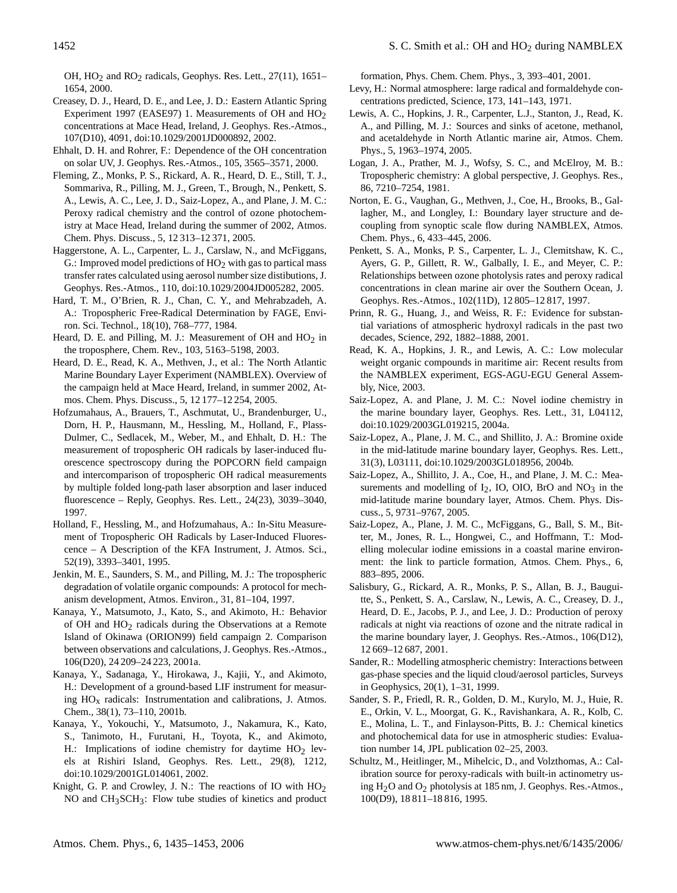OH,  $HO<sub>2</sub>$  and  $RO<sub>2</sub>$  radicals, Geophys. Res. Lett., 27(11), 1651– 1654, 2000.

- Creasey, D. J., Heard, D. E., and Lee, J. D.: Eastern Atlantic Spring Experiment 1997 (EASE97) 1. Measurements of OH and  $HO<sub>2</sub>$ concentrations at Mace Head, Ireland, J. Geophys. Res.-Atmos., 107(D10), 4091, doi:10.1029/2001JD000892, 2002.
- Ehhalt, D. H. and Rohrer, F.: Dependence of the OH concentration on solar UV, J. Geophys. Res.-Atmos., 105, 3565–3571, 2000.
- Fleming, Z., Monks, P. S., Rickard, A. R., Heard, D. E., Still, T. J., Sommariva, R., Pilling, M. J., Green, T., Brough, N., Penkett, S. A., Lewis, A. C., Lee, J. D., Saiz-Lopez, A., and Plane, J. M. C.: Peroxy radical chemistry and the control of ozone photochemistry at Mace Head, Ireland during the summer of 2002, Atmos. Chem. Phys. Discuss., 5, 12 313–12 371, 2005.
- Haggerstone, A. L., Carpenter, L. J., Carslaw, N., and McFiggans, G.: Improved model predictions of  $HO<sub>2</sub>$  with gas to partical mass transfer rates calculated using aerosol number size distibutions, J. Geophys. Res.-Atmos., 110, doi:10.1029/2004JD005282, 2005.
- Hard, T. M., O'Brien, R. J., Chan, C. Y., and Mehrabzadeh, A. A.: Tropospheric Free-Radical Determination by FAGE, Environ. Sci. Technol., 18(10), 768–777, 1984.
- Heard, D. E. and Pilling, M. J.: Measurement of OH and  $HO<sub>2</sub>$  in the troposphere, Chem. Rev., 103, 5163–5198, 2003.
- Heard, D. E., Read, K. A., Methven, J., et al.: The North Atlantic Marine Boundary Layer Experiment (NAMBLEX). Overview of the campaign held at Mace Heard, Ireland, in summer 2002, Atmos. Chem. Phys. Discuss., 5, 12 177–12 254, 2005.
- Hofzumahaus, A., Brauers, T., Aschmutat, U., Brandenburger, U., Dorn, H. P., Hausmann, M., Hessling, M., Holland, F., Plass-Dulmer, C., Sedlacek, M., Weber, M., and Ehhalt, D. H.: The measurement of tropospheric OH radicals by laser-induced fluorescence spectroscopy during the POPCORN field campaign and intercomparison of tropospheric OH radical measurements by multiple folded long-path laser absorption and laser induced fluorescence – Reply, Geophys. Res. Lett., 24(23), 3039–3040, 1997.
- Holland, F., Hessling, M., and Hofzumahaus, A.: In-Situ Measurement of Tropospheric OH Radicals by Laser-Induced Fluorescence – A Description of the KFA Instrument, J. Atmos. Sci., 52(19), 3393–3401, 1995.
- Jenkin, M. E., Saunders, S. M., and Pilling, M. J.: The tropospheric degradation of volatile organic compounds: A protocol for mechanism development, Atmos. Environ., 31, 81–104, 1997.
- Kanaya, Y., Matsumoto, J., Kato, S., and Akimoto, H.: Behavior of OH and HO2 radicals during the Observations at a Remote Island of Okinawa (ORION99) field campaign 2. Comparison between observations and calculations, J. Geophys. Res.-Atmos., 106(D20), 24 209–24 223, 2001a.
- Kanaya, Y., Sadanaga, Y., Hirokawa, J., Kajii, Y., and Akimoto, H.: Development of a ground-based LIF instrument for measuring  $HO<sub>x</sub>$  radicals: Instrumentation and calibrations, J. Atmos. Chem., 38(1), 73–110, 2001b.
- Kanaya, Y., Yokouchi, Y., Matsumoto, J., Nakamura, K., Kato, S., Tanimoto, H., Furutani, H., Toyota, K., and Akimoto, H.: Implications of iodine chemistry for daytime  $HO<sub>2</sub>$  levels at Rishiri Island, Geophys. Res. Lett., 29(8), 1212, doi:10.1029/2001GL014061, 2002.
- Knight, G. P. and Crowley, J. N.: The reactions of IO with HO2 NO and CH3SCH3: Flow tube studies of kinetics and product

formation, Phys. Chem. Chem. Phys., 3, 393–401, 2001.

- Levy, H.: Normal atmosphere: large radical and formaldehyde concentrations predicted, Science, 173, 141–143, 1971.
- Lewis, A. C., Hopkins, J. R., Carpenter, L.J., Stanton, J., Read, K. A., and Pilling, M. J.: Sources and sinks of acetone, methanol, and acetaldehyde in North Atlantic marine air, Atmos. Chem. Phys., 5, 1963–1974, 2005.
- Logan, J. A., Prather, M. J., Wofsy, S. C., and McElroy, M. B.: Tropospheric chemistry: A global perspective, J. Geophys. Res., 86, 7210–7254, 1981.
- Norton, E. G., Vaughan, G., Methven, J., Coe, H., Brooks, B., Gallagher, M., and Longley, I.: Boundary layer structure and decoupling from synoptic scale flow during NAMBLEX, Atmos. Chem. Phys., 6, 433–445, 2006.
- Penkett, S. A., Monks, P. S., Carpenter, L. J., Clemitshaw, K. C., Ayers, G. P., Gillett, R. W., Galbally, I. E., and Meyer, C. P.: Relationships between ozone photolysis rates and peroxy radical concentrations in clean marine air over the Southern Ocean, J. Geophys. Res.-Atmos., 102(11D), 12 805–12 817, 1997.
- Prinn, R. G., Huang, J., and Weiss, R. F.: Evidence for substantial variations of atmospheric hydroxyl radicals in the past two decades, Science, 292, 1882–1888, 2001.
- Read, K. A., Hopkins, J. R., and Lewis, A. C.: Low molecular weight organic compounds in maritime air: Recent results from the NAMBLEX experiment, EGS-AGU-EGU General Assembly, Nice, 2003.
- Saiz-Lopez, A. and Plane, J. M. C.: Novel iodine chemistry in the marine boundary layer, Geophys. Res. Lett., 31, L04112, doi:10.1029/2003GL019215, 2004a.
- Saiz-Lopez, A., Plane, J. M. C., and Shillito, J. A.: Bromine oxide in the mid-latitude marine boundary layer, Geophys. Res. Lett., 31(3), L03111, doi:10.1029/2003GL018956, 2004b.
- Saiz-Lopez, A., Shillito, J. A., Coe, H., and Plane, J. M. C.: Measurements and modelling of  $I_2$ , IO, OIO, BrO and NO<sub>3</sub> in the mid-latitude marine boundary layer, Atmos. Chem. Phys. Discuss., 5, 9731–9767, 2005.
- Saiz-Lopez, A., Plane, J. M. C., McFiggans, G., Ball, S. M., Bitter, M., Jones, R. L., Hongwei, C., and Hoffmann, T.: Modelling molecular iodine emissions in a coastal marine environment: the link to particle formation, Atmos. Chem. Phys., 6, 883–895, 2006.
- Salisbury, G., Rickard, A. R., Monks, P. S., Allan, B. J., Bauguitte, S., Penkett, S. A., Carslaw, N., Lewis, A. C., Creasey, D. J., Heard, D. E., Jacobs, P. J., and Lee, J. D.: Production of peroxy radicals at night via reactions of ozone and the nitrate radical in the marine boundary layer, J. Geophys. Res.-Atmos., 106(D12), 12 669–12 687, 2001.
- Sander, R.: Modelling atmospheric chemistry: Interactions between gas-phase species and the liquid cloud/aerosol particles, Surveys in Geophysics, 20(1), 1–31, 1999.
- Sander, S. P., Friedl, R. R., Golden, D. M., Kurylo, M. J., Huie, R. E., Orkin, V. L., Moorgat, G. K., Ravishankara, A. R., Kolb, C. E., Molina, L. T., and Finlayson-Pitts, B. J.: Chemical kinetics and photochemical data for use in atmospheric studies: Evaluation number 14, JPL publication 02–25, 2003.
- Schultz, M., Heitlinger, M., Mihelcic, D., and Volzthomas, A.: Calibration source for peroxy-radicals with built-in actinometry using H2O and O2 photolysis at 185 nm, J. Geophys. Res.-Atmos., 100(D9), 18 811–18 816, 1995.